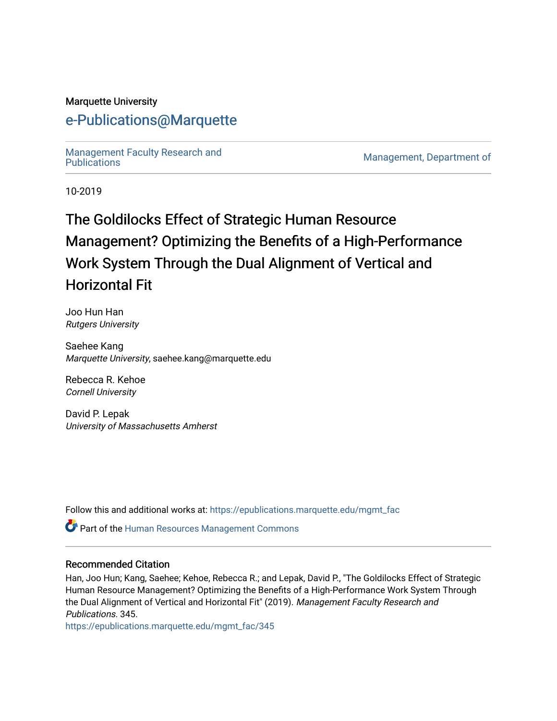#### Marquette University

# [e-Publications@Marquette](https://epublications.marquette.edu/)

Management Faculty Research and<br>Publications

Management, Department of

10-2019

# The Goldilocks Effect of Strategic Human Resource Management? Optimizing the Benefits of a High-Performance Work System Through the Dual Alignment of Vertical and Horizontal Fit

Joo Hun Han Rutgers University

Saehee Kang Marquette University, saehee.kang@marquette.edu

Rebecca R. Kehoe Cornell University

David P. Lepak University of Massachusetts Amherst

Follow this and additional works at: [https://epublications.marquette.edu/mgmt\\_fac](https://epublications.marquette.edu/mgmt_fac?utm_source=epublications.marquette.edu%2Fmgmt_fac%2F345&utm_medium=PDF&utm_campaign=PDFCoverPages) 

*O* Part of the Human Resources Management Commons

#### Recommended Citation

Han, Joo Hun; Kang, Saehee; Kehoe, Rebecca R.; and Lepak, David P., "The Goldilocks Effect of Strategic Human Resource Management? Optimizing the Benefits of a High-Performance Work System Through the Dual Alignment of Vertical and Horizontal Fit" (2019). Management Faculty Research and Publications. 345.

[https://epublications.marquette.edu/mgmt\\_fac/345](https://epublications.marquette.edu/mgmt_fac/345?utm_source=epublications.marquette.edu%2Fmgmt_fac%2F345&utm_medium=PDF&utm_campaign=PDFCoverPages)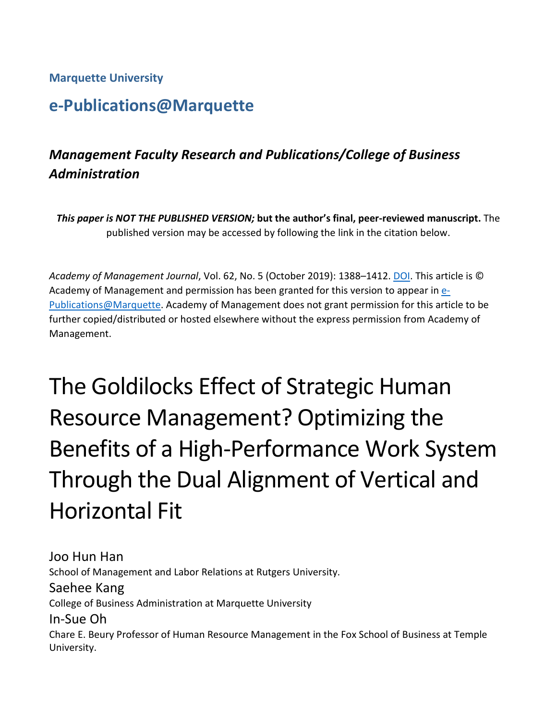# **Marquette University**

# **e-Publications@Marquette**

# *Management Faculty Research and Publications/College of Business Administration*

*This paper is NOT THE PUBLISHED VERSION;* **but the author's final, peer-reviewed manuscript.** The published version may be accessed by following the link in the citation below.

*Academy of Management Journal*, Vol. 62, No. 5 (October 2019): 1388–1412. [DOI.](https://doi.org/10.5465/amj.2016.1187) This article is © Academy of Management and permission has been granted for this version to appear in [e-](http://epublications.marquette.edu/)[Publications@Marquette.](http://epublications.marquette.edu/) Academy of Management does not grant permission for this article to be further copied/distributed or hosted elsewhere without the express permission from Academy of Management.

# The Goldilocks Effect of Strategic Human Resource Management? Optimizing the Benefits of a High-Performance Work System Through the Dual Alignment of Vertical and Horizontal Fit

Joo Hun Han School of Management and Labor Relations at Rutgers University. Saehee Kang College of Business Administration at Marquette University In-Sue Oh Chare E. Beury Professor of Human Resource Management in the Fox School of Business at Temple University.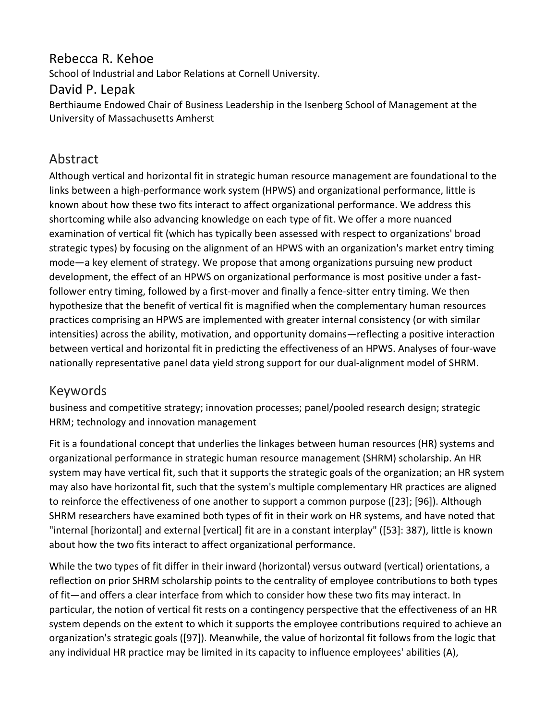# Rebecca R. Kehoe

School of Industrial and Labor Relations at Cornell University.

# David P. Lepak

Berthiaume Endowed Chair of Business Leadership in the Isenberg School of Management at the University of Massachusetts Amherst

# Abstract

Although vertical and horizontal fit in strategic human resource management are foundational to the links between a high-performance work system (HPWS) and organizational performance, little is known about how these two fits interact to affect organizational performance. We address this shortcoming while also advancing knowledge on each type of fit. We offer a more nuanced examination of vertical fit (which has typically been assessed with respect to organizations' broad strategic types) by focusing on the alignment of an HPWS with an organization's market entry timing mode—a key element of strategy. We propose that among organizations pursuing new product development, the effect of an HPWS on organizational performance is most positive under a fastfollower entry timing, followed by a first-mover and finally a fence-sitter entry timing. We then hypothesize that the benefit of vertical fit is magnified when the complementary human resources practices comprising an HPWS are implemented with greater internal consistency (or with similar intensities) across the ability, motivation, and opportunity domains—reflecting a positive interaction between vertical and horizontal fit in predicting the effectiveness of an HPWS. Analyses of four-wave nationally representative panel data yield strong support for our dual-alignment model of SHRM.

# Keywords

business and competitive strategy; innovation processes; panel/pooled research design; strategic HRM; technology and innovation management

Fit is a foundational concept that underlies the linkages between human resources (HR) systems and organizational performance in strategic human resource management (SHRM) scholarship. An HR system may have vertical fit, such that it supports the strategic goals of the organization; an HR system may also have horizontal fit, such that the system's multiple complementary HR practices are aligned to reinforce the effectiveness of one another to support a common purpose ([23]; [96]). Although SHRM researchers have examined both types of fit in their work on HR systems, and have noted that "internal [horizontal] and external [vertical] fit are in a constant interplay" ([53]: 387), little is known about how the two fits interact to affect organizational performance.

While the two types of fit differ in their inward (horizontal) versus outward (vertical) orientations, a reflection on prior SHRM scholarship points to the centrality of employee contributions to both types of fit—and offers a clear interface from which to consider how these two fits may interact. In particular, the notion of vertical fit rests on a contingency perspective that the effectiveness of an HR system depends on the extent to which it supports the employee contributions required to achieve an organization's strategic goals ([97]). Meanwhile, the value of horizontal fit follows from the logic that any individual HR practice may be limited in its capacity to influence employees' abilities (A),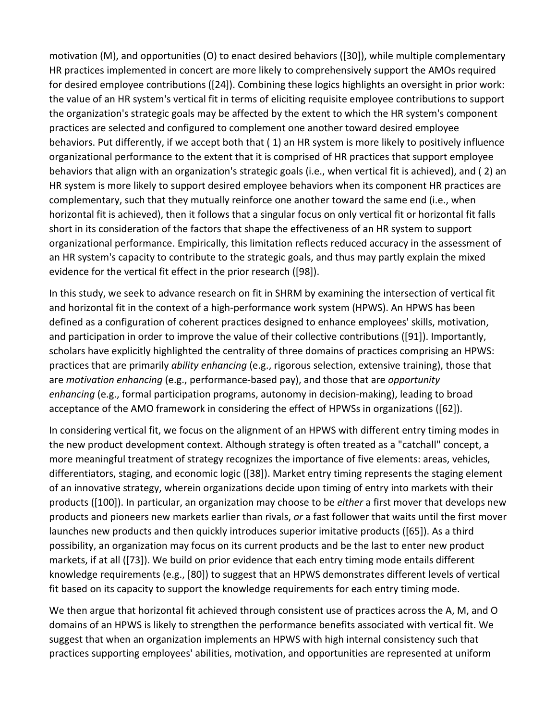motivation (M), and opportunities (O) to enact desired behaviors ([30]), while multiple complementary HR practices implemented in concert are more likely to comprehensively support the AMOs required for desired employee contributions ([24]). Combining these logics highlights an oversight in prior work: the value of an HR system's vertical fit in terms of eliciting requisite employee contributions to support the organization's strategic goals may be affected by the extent to which the HR system's component practices are selected and configured to complement one another toward desired employee behaviors. Put differently, if we accept both that ( 1) an HR system is more likely to positively influence organizational performance to the extent that it is comprised of HR practices that support employee behaviors that align with an organization's strategic goals (i.e., when vertical fit is achieved), and ( 2) an HR system is more likely to support desired employee behaviors when its component HR practices are complementary, such that they mutually reinforce one another toward the same end (i.e., when horizontal fit is achieved), then it follows that a singular focus on only vertical fit or horizontal fit falls short in its consideration of the factors that shape the effectiveness of an HR system to support organizational performance. Empirically, this limitation reflects reduced accuracy in the assessment of an HR system's capacity to contribute to the strategic goals, and thus may partly explain the mixed evidence for the vertical fit effect in the prior research ([98]).

In this study, we seek to advance research on fit in SHRM by examining the intersection of vertical fit and horizontal fit in the context of a high-performance work system (HPWS). An HPWS has been defined as a configuration of coherent practices designed to enhance employees' skills, motivation, and participation in order to improve the value of their collective contributions ([91]). Importantly, scholars have explicitly highlighted the centrality of three domains of practices comprising an HPWS: practices that are primarily *ability enhancing* (e.g., rigorous selection, extensive training), those that are *motivation enhancing* (e.g., performance-based pay), and those that are *opportunity enhancing* (e.g., formal participation programs, autonomy in decision-making), leading to broad acceptance of the AMO framework in considering the effect of HPWSs in organizations ([62]).

In considering vertical fit, we focus on the alignment of an HPWS with different entry timing modes in the new product development context. Although strategy is often treated as a "catchall" concept, a more meaningful treatment of strategy recognizes the importance of five elements: areas, vehicles, differentiators, staging, and economic logic ([38]). Market entry timing represents the staging element of an innovative strategy, wherein organizations decide upon timing of entry into markets with their products ([100]). In particular, an organization may choose to be *either* a first mover that develops new products and pioneers new markets earlier than rivals, *or* a fast follower that waits until the first mover launches new products and then quickly introduces superior imitative products ([65]). As a third possibility, an organization may focus on its current products and be the last to enter new product markets, if at all ([73]). We build on prior evidence that each entry timing mode entails different knowledge requirements (e.g., [80]) to suggest that an HPWS demonstrates different levels of vertical fit based on its capacity to support the knowledge requirements for each entry timing mode.

We then argue that horizontal fit achieved through consistent use of practices across the A, M, and O domains of an HPWS is likely to strengthen the performance benefits associated with vertical fit. We suggest that when an organization implements an HPWS with high internal consistency such that practices supporting employees' abilities, motivation, and opportunities are represented at uniform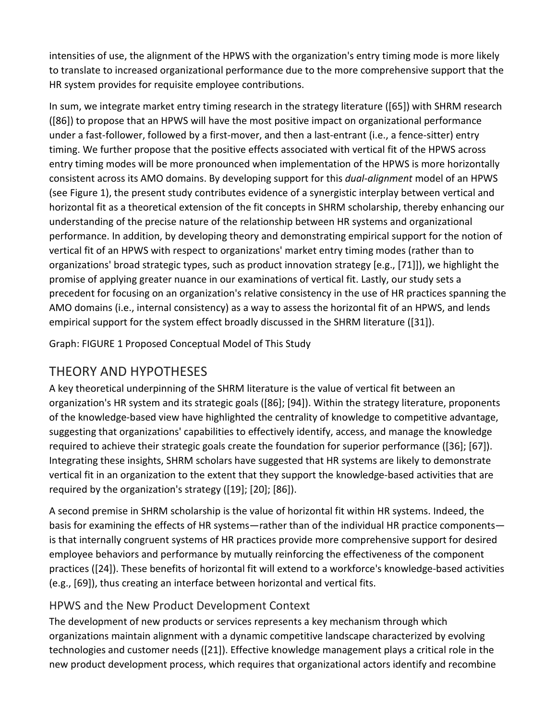intensities of use, the alignment of the HPWS with the organization's entry timing mode is more likely to translate to increased organizational performance due to the more comprehensive support that the HR system provides for requisite employee contributions.

In sum, we integrate market entry timing research in the strategy literature ([65]) with SHRM research ([86]) to propose that an HPWS will have the most positive impact on organizational performance under a fast-follower, followed by a first-mover, and then a last-entrant (i.e., a fence-sitter) entry timing. We further propose that the positive effects associated with vertical fit of the HPWS across entry timing modes will be more pronounced when implementation of the HPWS is more horizontally consistent across its AMO domains. By developing support for this *dual-alignment* model of an HPWS (see Figure 1), the present study contributes evidence of a synergistic interplay between vertical and horizontal fit as a theoretical extension of the fit concepts in SHRM scholarship, thereby enhancing our understanding of the precise nature of the relationship between HR systems and organizational performance. In addition, by developing theory and demonstrating empirical support for the notion of vertical fit of an HPWS with respect to organizations' market entry timing modes (rather than to organizations' broad strategic types, such as product innovation strategy [e.g., [71]]), we highlight the promise of applying greater nuance in our examinations of vertical fit. Lastly, our study sets a precedent for focusing on an organization's relative consistency in the use of HR practices spanning the AMO domains (i.e., internal consistency) as a way to assess the horizontal fit of an HPWS, and lends empirical support for the system effect broadly discussed in the SHRM literature ([31]).

Graph: FIGURE 1 Proposed Conceptual Model of This Study

# THEORY AND HYPOTHESES

A key theoretical underpinning of the SHRM literature is the value of vertical fit between an organization's HR system and its strategic goals ([86]; [94]). Within the strategy literature, proponents of the knowledge-based view have highlighted the centrality of knowledge to competitive advantage, suggesting that organizations' capabilities to effectively identify, access, and manage the knowledge required to achieve their strategic goals create the foundation for superior performance ([36]; [67]). Integrating these insights, SHRM scholars have suggested that HR systems are likely to demonstrate vertical fit in an organization to the extent that they support the knowledge-based activities that are required by the organization's strategy ([19]; [20]; [86]).

A second premise in SHRM scholarship is the value of horizontal fit within HR systems. Indeed, the basis for examining the effects of HR systems—rather than of the individual HR practice components is that internally congruent systems of HR practices provide more comprehensive support for desired employee behaviors and performance by mutually reinforcing the effectiveness of the component practices ([24]). These benefits of horizontal fit will extend to a workforce's knowledge-based activities (e.g., [69]), thus creating an interface between horizontal and vertical fits.

# HPWS and the New Product Development Context

The development of new products or services represents a key mechanism through which organizations maintain alignment with a dynamic competitive landscape characterized by evolving technologies and customer needs ([21]). Effective knowledge management plays a critical role in the new product development process, which requires that organizational actors identify and recombine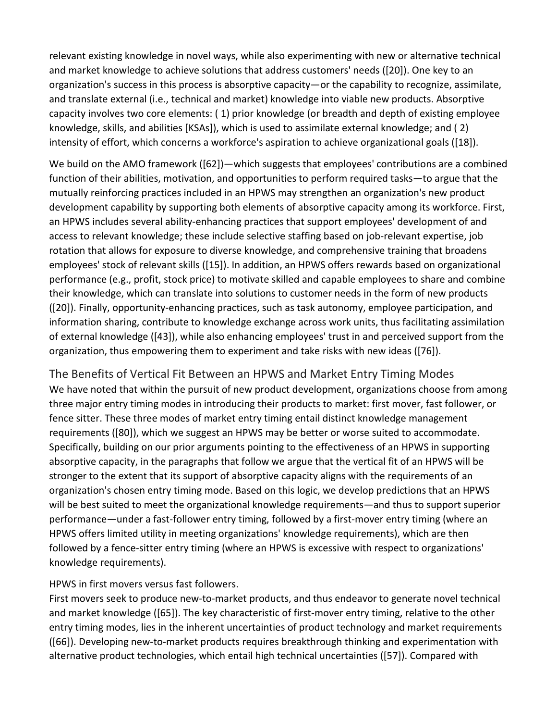relevant existing knowledge in novel ways, while also experimenting with new or alternative technical and market knowledge to achieve solutions that address customers' needs ([20]). One key to an organization's success in this process is absorptive capacity—or the capability to recognize, assimilate, and translate external (i.e., technical and market) knowledge into viable new products. Absorptive capacity involves two core elements: ( 1) prior knowledge (or breadth and depth of existing employee knowledge, skills, and abilities [KSAs]), which is used to assimilate external knowledge; and ( 2) intensity of effort, which concerns a workforce's aspiration to achieve organizational goals ([18]).

We build on the AMO framework ([62])—which suggests that employees' contributions are a combined function of their abilities, motivation, and opportunities to perform required tasks—to argue that the mutually reinforcing practices included in an HPWS may strengthen an organization's new product development capability by supporting both elements of absorptive capacity among its workforce. First, an HPWS includes several ability-enhancing practices that support employees' development of and access to relevant knowledge; these include selective staffing based on job-relevant expertise, job rotation that allows for exposure to diverse knowledge, and comprehensive training that broadens employees' stock of relevant skills ([15]). In addition, an HPWS offers rewards based on organizational performance (e.g., profit, stock price) to motivate skilled and capable employees to share and combine their knowledge, which can translate into solutions to customer needs in the form of new products ([20]). Finally, opportunity-enhancing practices, such as task autonomy, employee participation, and information sharing, contribute to knowledge exchange across work units, thus facilitating assimilation of external knowledge ([43]), while also enhancing employees' trust in and perceived support from the organization, thus empowering them to experiment and take risks with new ideas ([76]).

The Benefits of Vertical Fit Between an HPWS and Market Entry Timing Modes We have noted that within the pursuit of new product development, organizations choose from among three major entry timing modes in introducing their products to market: first mover, fast follower, or fence sitter. These three modes of market entry timing entail distinct knowledge management requirements ([80]), which we suggest an HPWS may be better or worse suited to accommodate. Specifically, building on our prior arguments pointing to the effectiveness of an HPWS in supporting absorptive capacity, in the paragraphs that follow we argue that the vertical fit of an HPWS will be stronger to the extent that its support of absorptive capacity aligns with the requirements of an organization's chosen entry timing mode. Based on this logic, we develop predictions that an HPWS will be best suited to meet the organizational knowledge requirements—and thus to support superior performance—under a fast-follower entry timing, followed by a first-mover entry timing (where an HPWS offers limited utility in meeting organizations' knowledge requirements), which are then followed by a fence-sitter entry timing (where an HPWS is excessive with respect to organizations' knowledge requirements).

#### HPWS in first movers versus fast followers.

First movers seek to produce new-to-market products, and thus endeavor to generate novel technical and market knowledge ([65]). The key characteristic of first-mover entry timing, relative to the other entry timing modes, lies in the inherent uncertainties of product technology and market requirements ([66]). Developing new-to-market products requires breakthrough thinking and experimentation with alternative product technologies, which entail high technical uncertainties ([57]). Compared with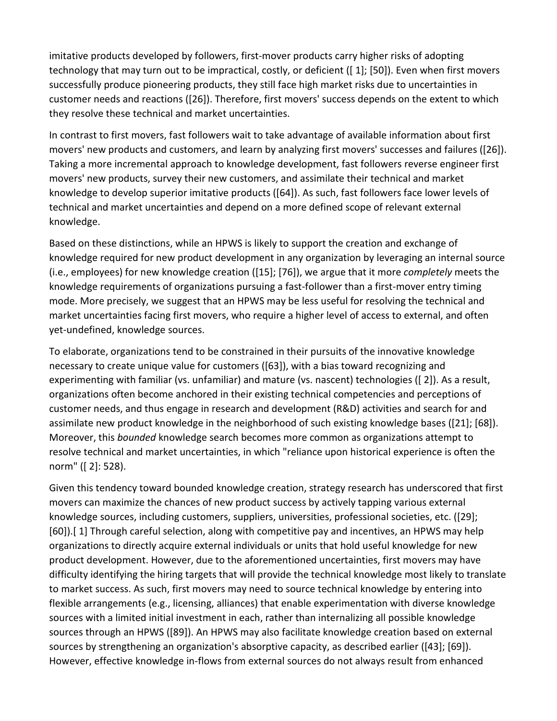imitative products developed by followers, first-mover products carry higher risks of adopting technology that may turn out to be impractical, costly, or deficient ([ 1]; [50]). Even when first movers successfully produce pioneering products, they still face high market risks due to uncertainties in customer needs and reactions ([26]). Therefore, first movers' success depends on the extent to which they resolve these technical and market uncertainties.

In contrast to first movers, fast followers wait to take advantage of available information about first movers' new products and customers, and learn by analyzing first movers' successes and failures ([26]). Taking a more incremental approach to knowledge development, fast followers reverse engineer first movers' new products, survey their new customers, and assimilate their technical and market knowledge to develop superior imitative products ([64]). As such, fast followers face lower levels of technical and market uncertainties and depend on a more defined scope of relevant external knowledge.

Based on these distinctions, while an HPWS is likely to support the creation and exchange of knowledge required for new product development in any organization by leveraging an internal source (i.e., employees) for new knowledge creation ([15]; [76]), we argue that it more *completely* meets the knowledge requirements of organizations pursuing a fast-follower than a first-mover entry timing mode. More precisely, we suggest that an HPWS may be less useful for resolving the technical and market uncertainties facing first movers, who require a higher level of access to external, and often yet-undefined, knowledge sources.

To elaborate, organizations tend to be constrained in their pursuits of the innovative knowledge necessary to create unique value for customers ([63]), with a bias toward recognizing and experimenting with familiar (vs. unfamiliar) and mature (vs. nascent) technologies ([ 2]). As a result, organizations often become anchored in their existing technical competencies and perceptions of customer needs, and thus engage in research and development (R&D) activities and search for and assimilate new product knowledge in the neighborhood of such existing knowledge bases ([21]; [68]). Moreover, this *bounded* knowledge search becomes more common as organizations attempt to resolve technical and market uncertainties, in which "reliance upon historical experience is often the norm" ([ 2]: 528).

Given this tendency toward bounded knowledge creation, strategy research has underscored that first movers can maximize the chances of new product success by actively tapping various external knowledge sources, including customers, suppliers, universities, professional societies, etc. ([29]; [60]).[ 1] Through careful selection, along with competitive pay and incentives, an HPWS may help organizations to directly acquire external individuals or units that hold useful knowledge for new product development. However, due to the aforementioned uncertainties, first movers may have difficulty identifying the hiring targets that will provide the technical knowledge most likely to translate to market success. As such, first movers may need to source technical knowledge by entering into flexible arrangements (e.g., licensing, alliances) that enable experimentation with diverse knowledge sources with a limited initial investment in each, rather than internalizing all possible knowledge sources through an HPWS ([89]). An HPWS may also facilitate knowledge creation based on external sources by strengthening an organization's absorptive capacity, as described earlier ([43]; [69]). However, effective knowledge in-flows from external sources do not always result from enhanced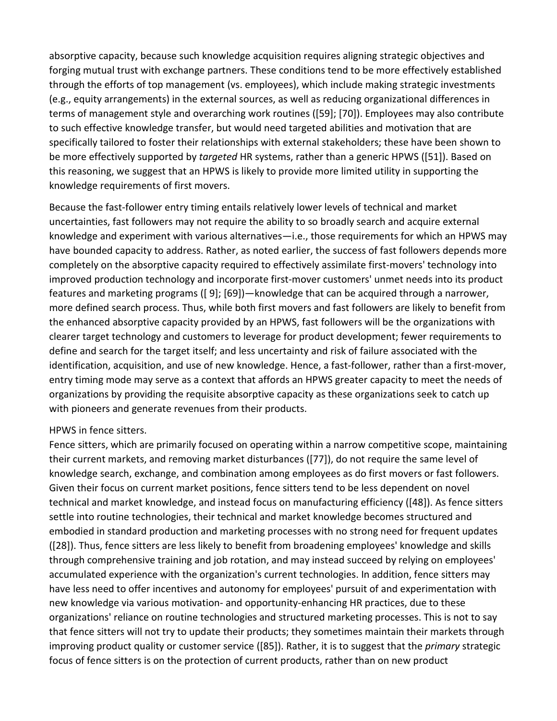absorptive capacity, because such knowledge acquisition requires aligning strategic objectives and forging mutual trust with exchange partners. These conditions tend to be more effectively established through the efforts of top management (vs. employees), which include making strategic investments (e.g., equity arrangements) in the external sources, as well as reducing organizational differences in terms of management style and overarching work routines ([59]; [70]). Employees may also contribute to such effective knowledge transfer, but would need targeted abilities and motivation that are specifically tailored to foster their relationships with external stakeholders; these have been shown to be more effectively supported by *targeted* HR systems, rather than a generic HPWS ([51]). Based on this reasoning, we suggest that an HPWS is likely to provide more limited utility in supporting the knowledge requirements of first movers.

Because the fast-follower entry timing entails relatively lower levels of technical and market uncertainties, fast followers may not require the ability to so broadly search and acquire external knowledge and experiment with various alternatives—i.e., those requirements for which an HPWS may have bounded capacity to address. Rather, as noted earlier, the success of fast followers depends more completely on the absorptive capacity required to effectively assimilate first-movers' technology into improved production technology and incorporate first-mover customers' unmet needs into its product features and marketing programs ([ 9]; [69])—knowledge that can be acquired through a narrower, more defined search process. Thus, while both first movers and fast followers are likely to benefit from the enhanced absorptive capacity provided by an HPWS, fast followers will be the organizations with clearer target technology and customers to leverage for product development; fewer requirements to define and search for the target itself; and less uncertainty and risk of failure associated with the identification, acquisition, and use of new knowledge. Hence, a fast-follower, rather than a first-mover, entry timing mode may serve as a context that affords an HPWS greater capacity to meet the needs of organizations by providing the requisite absorptive capacity as these organizations seek to catch up with pioneers and generate revenues from their products.

#### HPWS in fence sitters.

Fence sitters, which are primarily focused on operating within a narrow competitive scope, maintaining their current markets, and removing market disturbances ([77]), do not require the same level of knowledge search, exchange, and combination among employees as do first movers or fast followers. Given their focus on current market positions, fence sitters tend to be less dependent on novel technical and market knowledge, and instead focus on manufacturing efficiency ([48]). As fence sitters settle into routine technologies, their technical and market knowledge becomes structured and embodied in standard production and marketing processes with no strong need for frequent updates ([28]). Thus, fence sitters are less likely to benefit from broadening employees' knowledge and skills through comprehensive training and job rotation, and may instead succeed by relying on employees' accumulated experience with the organization's current technologies. In addition, fence sitters may have less need to offer incentives and autonomy for employees' pursuit of and experimentation with new knowledge via various motivation- and opportunity-enhancing HR practices, due to these organizations' reliance on routine technologies and structured marketing processes. This is not to say that fence sitters will not try to update their products; they sometimes maintain their markets through improving product quality or customer service ([85]). Rather, it is to suggest that the *primary* strategic focus of fence sitters is on the protection of current products, rather than on new product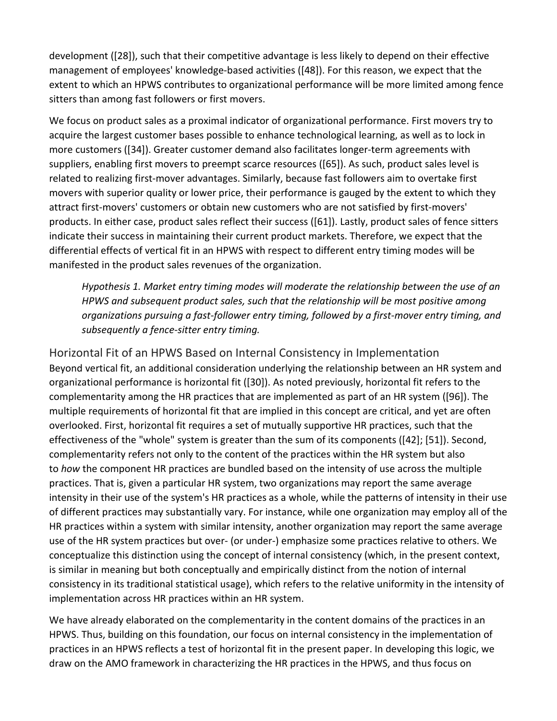development ([28]), such that their competitive advantage is less likely to depend on their effective management of employees' knowledge-based activities ([48]). For this reason, we expect that the extent to which an HPWS contributes to organizational performance will be more limited among fence sitters than among fast followers or first movers.

We focus on product sales as a proximal indicator of organizational performance. First movers try to acquire the largest customer bases possible to enhance technological learning, as well as to lock in more customers ([34]). Greater customer demand also facilitates longer-term agreements with suppliers, enabling first movers to preempt scarce resources ([65]). As such, product sales level is related to realizing first-mover advantages. Similarly, because fast followers aim to overtake first movers with superior quality or lower price, their performance is gauged by the extent to which they attract first-movers' customers or obtain new customers who are not satisfied by first-movers' products. In either case, product sales reflect their success ([61]). Lastly, product sales of fence sitters indicate their success in maintaining their current product markets. Therefore, we expect that the differential effects of vertical fit in an HPWS with respect to different entry timing modes will be manifested in the product sales revenues of the organization.

*Hypothesis 1. Market entry timing modes will moderate the relationship between the use of an HPWS and subsequent product sales, such that the relationship will be most positive among organizations pursuing a fast-follower entry timing, followed by a first-mover entry timing, and subsequently a fence-sitter entry timing.*

Horizontal Fit of an HPWS Based on Internal Consistency in Implementation Beyond vertical fit, an additional consideration underlying the relationship between an HR system and organizational performance is horizontal fit ([30]). As noted previously, horizontal fit refers to the complementarity among the HR practices that are implemented as part of an HR system ([96]). The multiple requirements of horizontal fit that are implied in this concept are critical, and yet are often overlooked. First, horizontal fit requires a set of mutually supportive HR practices, such that the effectiveness of the "whole" system is greater than the sum of its components ([42]; [51]). Second, complementarity refers not only to the content of the practices within the HR system but also to *how* the component HR practices are bundled based on the intensity of use across the multiple practices. That is, given a particular HR system, two organizations may report the same average intensity in their use of the system's HR practices as a whole, while the patterns of intensity in their use of different practices may substantially vary. For instance, while one organization may employ all of the HR practices within a system with similar intensity, another organization may report the same average use of the HR system practices but over- (or under-) emphasize some practices relative to others. We conceptualize this distinction using the concept of internal consistency (which, in the present context, is similar in meaning but both conceptually and empirically distinct from the notion of internal consistency in its traditional statistical usage), which refers to the relative uniformity in the intensity of implementation across HR practices within an HR system.

We have already elaborated on the complementarity in the content domains of the practices in an HPWS. Thus, building on this foundation, our focus on internal consistency in the implementation of practices in an HPWS reflects a test of horizontal fit in the present paper. In developing this logic, we draw on the AMO framework in characterizing the HR practices in the HPWS, and thus focus on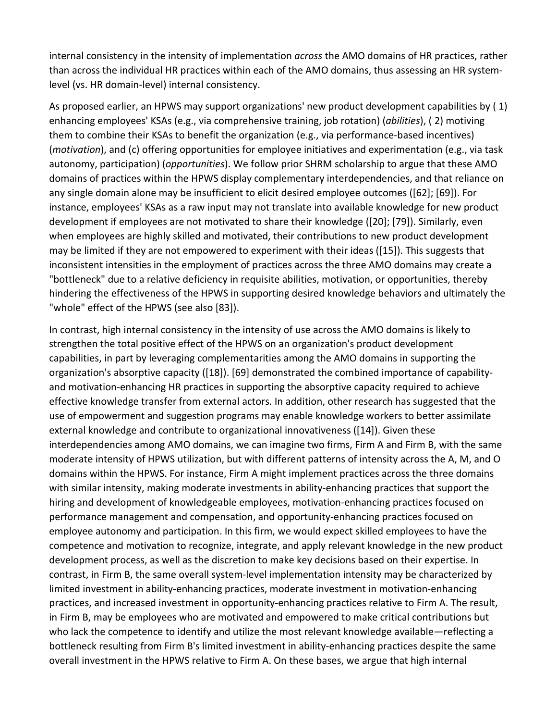internal consistency in the intensity of implementation *across* the AMO domains of HR practices, rather than across the individual HR practices within each of the AMO domains, thus assessing an HR systemlevel (vs. HR domain-level) internal consistency.

As proposed earlier, an HPWS may support organizations' new product development capabilities by ( 1) enhancing employees' KSAs (e.g., via comprehensive training, job rotation) (*abilities*), ( 2) motiving them to combine their KSAs to benefit the organization (e.g., via performance-based incentives) (*motivation*), and (c) offering opportunities for employee initiatives and experimentation (e.g., via task autonomy, participation) (*opportunities*). We follow prior SHRM scholarship to argue that these AMO domains of practices within the HPWS display complementary interdependencies, and that reliance on any single domain alone may be insufficient to elicit desired employee outcomes ([62]; [69]). For instance, employees' KSAs as a raw input may not translate into available knowledge for new product development if employees are not motivated to share their knowledge ([20]; [79]). Similarly, even when employees are highly skilled and motivated, their contributions to new product development may be limited if they are not empowered to experiment with their ideas ([15]). This suggests that inconsistent intensities in the employment of practices across the three AMO domains may create a "bottleneck" due to a relative deficiency in requisite abilities, motivation, or opportunities, thereby hindering the effectiveness of the HPWS in supporting desired knowledge behaviors and ultimately the "whole" effect of the HPWS (see also [83]).

In contrast, high internal consistency in the intensity of use across the AMO domains is likely to strengthen the total positive effect of the HPWS on an organization's product development capabilities, in part by leveraging complementarities among the AMO domains in supporting the organization's absorptive capacity ([18]). [69] demonstrated the combined importance of capabilityand motivation-enhancing HR practices in supporting the absorptive capacity required to achieve effective knowledge transfer from external actors. In addition, other research has suggested that the use of empowerment and suggestion programs may enable knowledge workers to better assimilate external knowledge and contribute to organizational innovativeness ([14]). Given these interdependencies among AMO domains, we can imagine two firms, Firm A and Firm B, with the same moderate intensity of HPWS utilization, but with different patterns of intensity across the A, M, and O domains within the HPWS. For instance, Firm A might implement practices across the three domains with similar intensity, making moderate investments in ability-enhancing practices that support the hiring and development of knowledgeable employees, motivation-enhancing practices focused on performance management and compensation, and opportunity-enhancing practices focused on employee autonomy and participation. In this firm, we would expect skilled employees to have the competence and motivation to recognize, integrate, and apply relevant knowledge in the new product development process, as well as the discretion to make key decisions based on their expertise. In contrast, in Firm B, the same overall system-level implementation intensity may be characterized by limited investment in ability-enhancing practices, moderate investment in motivation-enhancing practices, and increased investment in opportunity-enhancing practices relative to Firm A. The result, in Firm B, may be employees who are motivated and empowered to make critical contributions but who lack the competence to identify and utilize the most relevant knowledge available—reflecting a bottleneck resulting from Firm B's limited investment in ability-enhancing practices despite the same overall investment in the HPWS relative to Firm A. On these bases, we argue that high internal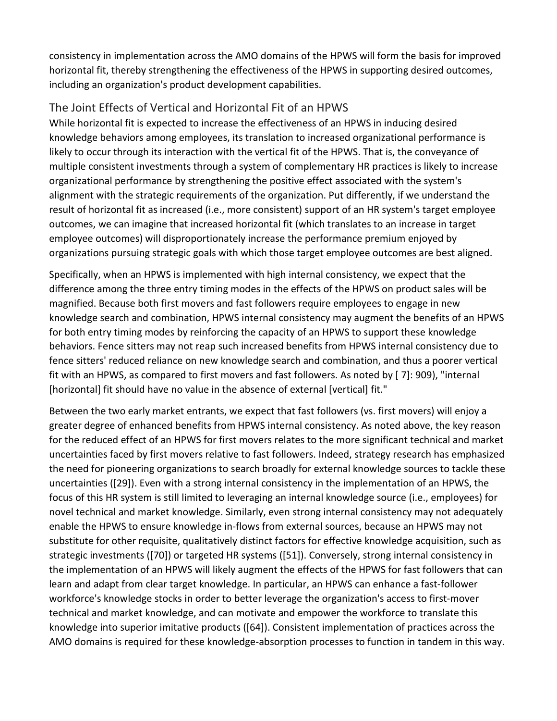consistency in implementation across the AMO domains of the HPWS will form the basis for improved horizontal fit, thereby strengthening the effectiveness of the HPWS in supporting desired outcomes, including an organization's product development capabilities.

# The Joint Effects of Vertical and Horizontal Fit of an HPWS

While horizontal fit is expected to increase the effectiveness of an HPWS in inducing desired knowledge behaviors among employees, its translation to increased organizational performance is likely to occur through its interaction with the vertical fit of the HPWS. That is, the conveyance of multiple consistent investments through a system of complementary HR practices is likely to increase organizational performance by strengthening the positive effect associated with the system's alignment with the strategic requirements of the organization. Put differently, if we understand the result of horizontal fit as increased (i.e., more consistent) support of an HR system's target employee outcomes, we can imagine that increased horizontal fit (which translates to an increase in target employee outcomes) will disproportionately increase the performance premium enjoyed by organizations pursuing strategic goals with which those target employee outcomes are best aligned.

Specifically, when an HPWS is implemented with high internal consistency, we expect that the difference among the three entry timing modes in the effects of the HPWS on product sales will be magnified. Because both first movers and fast followers require employees to engage in new knowledge search and combination, HPWS internal consistency may augment the benefits of an HPWS for both entry timing modes by reinforcing the capacity of an HPWS to support these knowledge behaviors. Fence sitters may not reap such increased benefits from HPWS internal consistency due to fence sitters' reduced reliance on new knowledge search and combination, and thus a poorer vertical fit with an HPWS, as compared to first movers and fast followers. As noted by [ 7]: 909), "internal [horizontal] fit should have no value in the absence of external [vertical] fit."

Between the two early market entrants, we expect that fast followers (vs. first movers) will enjoy a greater degree of enhanced benefits from HPWS internal consistency. As noted above, the key reason for the reduced effect of an HPWS for first movers relates to the more significant technical and market uncertainties faced by first movers relative to fast followers. Indeed, strategy research has emphasized the need for pioneering organizations to search broadly for external knowledge sources to tackle these uncertainties ([29]). Even with a strong internal consistency in the implementation of an HPWS, the focus of this HR system is still limited to leveraging an internal knowledge source (i.e., employees) for novel technical and market knowledge. Similarly, even strong internal consistency may not adequately enable the HPWS to ensure knowledge in-flows from external sources, because an HPWS may not substitute for other requisite, qualitatively distinct factors for effective knowledge acquisition, such as strategic investments ([70]) or targeted HR systems ([51]). Conversely, strong internal consistency in the implementation of an HPWS will likely augment the effects of the HPWS for fast followers that can learn and adapt from clear target knowledge. In particular, an HPWS can enhance a fast-follower workforce's knowledge stocks in order to better leverage the organization's access to first-mover technical and market knowledge, and can motivate and empower the workforce to translate this knowledge into superior imitative products ([64]). Consistent implementation of practices across the AMO domains is required for these knowledge-absorption processes to function in tandem in this way.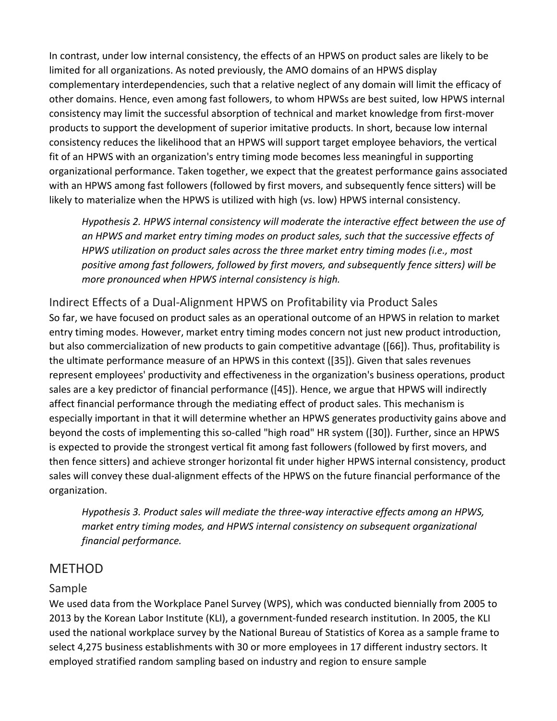In contrast, under low internal consistency, the effects of an HPWS on product sales are likely to be limited for all organizations. As noted previously, the AMO domains of an HPWS display complementary interdependencies, such that a relative neglect of any domain will limit the efficacy of other domains. Hence, even among fast followers, to whom HPWSs are best suited, low HPWS internal consistency may limit the successful absorption of technical and market knowledge from first-mover products to support the development of superior imitative products. In short, because low internal consistency reduces the likelihood that an HPWS will support target employee behaviors, the vertical fit of an HPWS with an organization's entry timing mode becomes less meaningful in supporting organizational performance. Taken together, we expect that the greatest performance gains associated with an HPWS among fast followers (followed by first movers, and subsequently fence sitters) will be likely to materialize when the HPWS is utilized with high (vs. low) HPWS internal consistency.

*Hypothesis 2. HPWS internal consistency will moderate the interactive effect between the use of an HPWS and market entry timing modes on product sales, such that the successive effects of HPWS utilization on product sales across the three market entry timing modes (i.e., most positive among fast followers, followed by first movers, and subsequently fence sitters) will be more pronounced when HPWS internal consistency is high.*

Indirect Effects of a Dual-Alignment HPWS on Profitability via Product Sales So far, we have focused on product sales as an operational outcome of an HPWS in relation to market entry timing modes. However, market entry timing modes concern not just new product introduction, but also commercialization of new products to gain competitive advantage ([66]). Thus, profitability is the ultimate performance measure of an HPWS in this context ([35]). Given that sales revenues represent employees' productivity and effectiveness in the organization's business operations, product sales are a key predictor of financial performance ([45]). Hence, we argue that HPWS will indirectly affect financial performance through the mediating effect of product sales. This mechanism is especially important in that it will determine whether an HPWS generates productivity gains above and beyond the costs of implementing this so-called "high road" HR system ([30]). Further, since an HPWS is expected to provide the strongest vertical fit among fast followers (followed by first movers, and then fence sitters) and achieve stronger horizontal fit under higher HPWS internal consistency, product sales will convey these dual-alignment effects of the HPWS on the future financial performance of the organization.

*Hypothesis 3. Product sales will mediate the three-way interactive effects among an HPWS, market entry timing modes, and HPWS internal consistency on subsequent organizational financial performance.*

# METHOD

# Sample

We used data from the Workplace Panel Survey (WPS), which was conducted biennially from 2005 to 2013 by the Korean Labor Institute (KLI), a government-funded research institution. In 2005, the KLI used the national workplace survey by the National Bureau of Statistics of Korea as a sample frame to select 4,275 business establishments with 30 or more employees in 17 different industry sectors. It employed stratified random sampling based on industry and region to ensure sample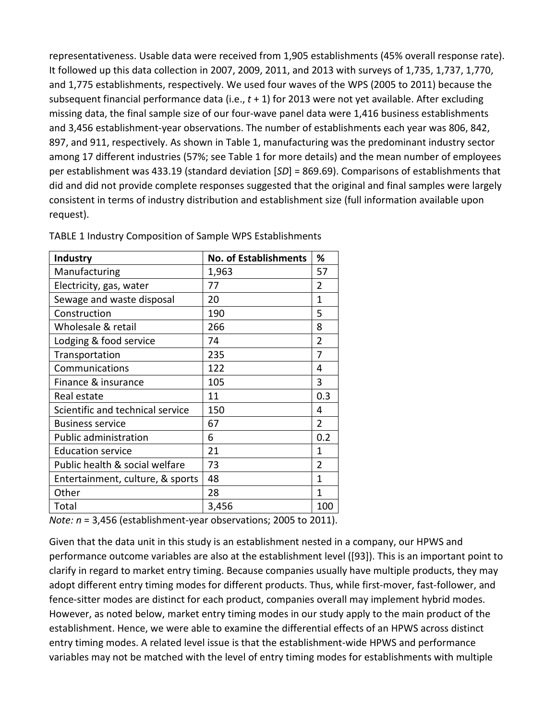representativeness. Usable data were received from 1,905 establishments (45% overall response rate). It followed up this data collection in 2007, 2009, 2011, and 2013 with surveys of 1,735, 1,737, 1,770, and 1,775 establishments, respectively. We used four waves of the WPS (2005 to 2011) because the subsequent financial performance data (i.e., *t* + 1) for 2013 were not yet available. After excluding missing data, the final sample size of our four-wave panel data were 1,416 business establishments and 3,456 establishment-year observations. The number of establishments each year was 806, 842, 897, and 911, respectively. As shown in Table 1, manufacturing was the predominant industry sector among 17 different industries (57%; see Table 1 for more details) and the mean number of employees per establishment was 433.19 (standard deviation [*SD*] = 869.69). Comparisons of establishments that did and did not provide complete responses suggested that the original and final samples were largely consistent in terms of industry distribution and establishment size (full information available upon request).

| Industry                         | <b>No. of Establishments</b> | %              |
|----------------------------------|------------------------------|----------------|
| Manufacturing                    | 1,963                        | 57             |
| Electricity, gas, water          | 77                           | $\overline{2}$ |
| Sewage and waste disposal        | 20                           | $\mathbf{1}$   |
| Construction                     | 190                          | 5              |
| Wholesale & retail               | 266                          | 8              |
| Lodging & food service           | 74                           | $\overline{2}$ |
| Transportation                   | 235                          | 7              |
| Communications                   | 122                          | 4              |
| Finance & insurance              | 105                          | 3              |
| Real estate                      | 11                           | 0.3            |
| Scientific and technical service | 150                          | 4              |
| <b>Business service</b>          | 67                           | $\overline{2}$ |
| <b>Public administration</b>     | 6                            | 0.2            |
| <b>Education service</b>         | 21                           | 1              |
| Public health & social welfare   | 73                           | 2              |
| Entertainment, culture, & sports | 48                           | 1              |
| Other                            | 28                           | 1              |
| Total                            | 3,456                        | 100            |

TABLE 1 Industry Composition of Sample WPS Establishments

*Note: n* = 3,456 (establishment-year observations; 2005 to 2011).

Given that the data unit in this study is an establishment nested in a company, our HPWS and performance outcome variables are also at the establishment level ([93]). This is an important point to clarify in regard to market entry timing. Because companies usually have multiple products, they may adopt different entry timing modes for different products. Thus, while first-mover, fast-follower, and fence-sitter modes are distinct for each product, companies overall may implement hybrid modes. However, as noted below, market entry timing modes in our study apply to the main product of the establishment. Hence, we were able to examine the differential effects of an HPWS across distinct entry timing modes. A related level issue is that the establishment-wide HPWS and performance variables may not be matched with the level of entry timing modes for establishments with multiple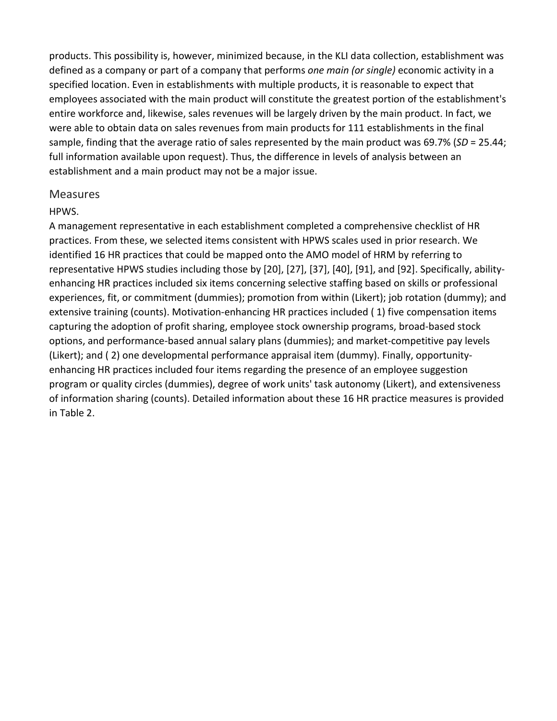products. This possibility is, however, minimized because, in the KLI data collection, establishment was defined as a company or part of a company that performs *one main (or single)* economic activity in a specified location. Even in establishments with multiple products, it is reasonable to expect that employees associated with the main product will constitute the greatest portion of the establishment's entire workforce and, likewise, sales revenues will be largely driven by the main product. In fact, we were able to obtain data on sales revenues from main products for 111 establishments in the final sample, finding that the average ratio of sales represented by the main product was 69.7% (*SD* = 25.44; full information available upon request). Thus, the difference in levels of analysis between an establishment and a main product may not be a major issue.

#### **Measures**

#### HPWS.

A management representative in each establishment completed a comprehensive checklist of HR practices. From these, we selected items consistent with HPWS scales used in prior research. We identified 16 HR practices that could be mapped onto the AMO model of HRM by referring to representative HPWS studies including those by [20], [27], [37], [40], [91], and [92]. Specifically, abilityenhancing HR practices included six items concerning selective staffing based on skills or professional experiences, fit, or commitment (dummies); promotion from within (Likert); job rotation (dummy); and extensive training (counts). Motivation-enhancing HR practices included ( 1) five compensation items capturing the adoption of profit sharing, employee stock ownership programs, broad-based stock options, and performance-based annual salary plans (dummies); and market-competitive pay levels (Likert); and ( 2) one developmental performance appraisal item (dummy). Finally, opportunityenhancing HR practices included four items regarding the presence of an employee suggestion program or quality circles (dummies), degree of work units' task autonomy (Likert), and extensiveness of information sharing (counts). Detailed information about these 16 HR practice measures is provided in Table 2.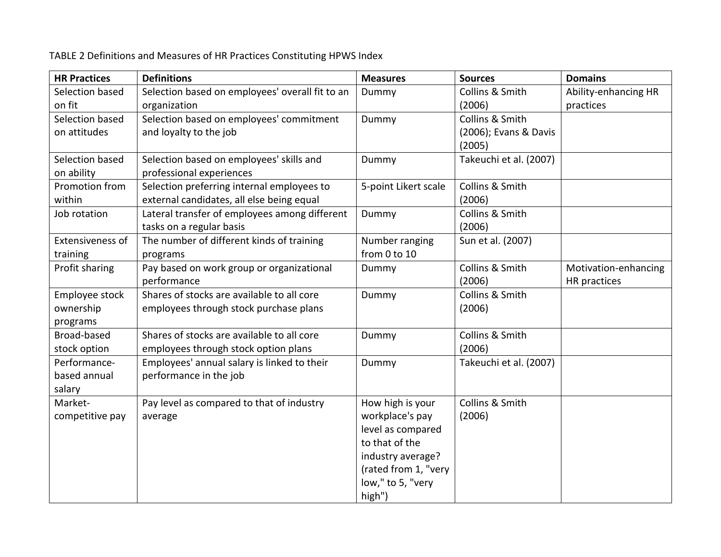TABLE 2 Definitions and Measures of HR Practices Constituting HPWS Index

| <b>HR Practices</b> | <b>Definitions</b>                              | <b>Measures</b>      | <b>Sources</b>         | <b>Domains</b>       |
|---------------------|-------------------------------------------------|----------------------|------------------------|----------------------|
| Selection based     | Selection based on employees' overall fit to an | Dummy                | Collins & Smith        | Ability-enhancing HR |
| on fit              | organization                                    |                      | (2006)                 | practices            |
| Selection based     | Selection based on employees' commitment        | Dummy                | Collins & Smith        |                      |
| on attitudes        | and loyalty to the job                          |                      | (2006); Evans & Davis  |                      |
|                     |                                                 |                      | (2005)                 |                      |
| Selection based     | Selection based on employees' skills and        | Dummy                | Takeuchi et al. (2007) |                      |
| on ability          | professional experiences                        |                      |                        |                      |
| Promotion from      | Selection preferring internal employees to      | 5-point Likert scale | Collins & Smith        |                      |
| within              | external candidates, all else being equal       |                      | (2006)                 |                      |
| Job rotation        | Lateral transfer of employees among different   | Dummy                | Collins & Smith        |                      |
|                     | tasks on a regular basis                        |                      | (2006)                 |                      |
| Extensiveness of    | The number of different kinds of training       | Number ranging       | Sun et al. (2007)      |                      |
| training            | programs                                        | from 0 to 10         |                        |                      |
| Profit sharing      | Pay based on work group or organizational       | Dummy                | Collins & Smith        | Motivation-enhancing |
|                     | performance                                     |                      | (2006)                 | HR practices         |
| Employee stock      | Shares of stocks are available to all core      | Dummy                | Collins & Smith        |                      |
| ownership           | employees through stock purchase plans          |                      | (2006)                 |                      |
| programs            |                                                 |                      |                        |                      |
| Broad-based         | Shares of stocks are available to all core      | Dummy                | Collins & Smith        |                      |
| stock option        | employees through stock option plans            |                      | (2006)                 |                      |
| Performance-        | Employees' annual salary is linked to their     | Dummy                | Takeuchi et al. (2007) |                      |
| based annual        | performance in the job                          |                      |                        |                      |
| salary              |                                                 |                      |                        |                      |
| Market-             | Pay level as compared to that of industry       | How high is your     | Collins & Smith        |                      |
| competitive pay     | average                                         | workplace's pay      | (2006)                 |                      |
|                     |                                                 | level as compared    |                        |                      |
|                     |                                                 | to that of the       |                        |                      |
|                     |                                                 | industry average?    |                        |                      |
|                     |                                                 | (rated from 1, "very |                        |                      |
|                     |                                                 | low," to 5, "very    |                        |                      |
|                     |                                                 | high")               |                        |                      |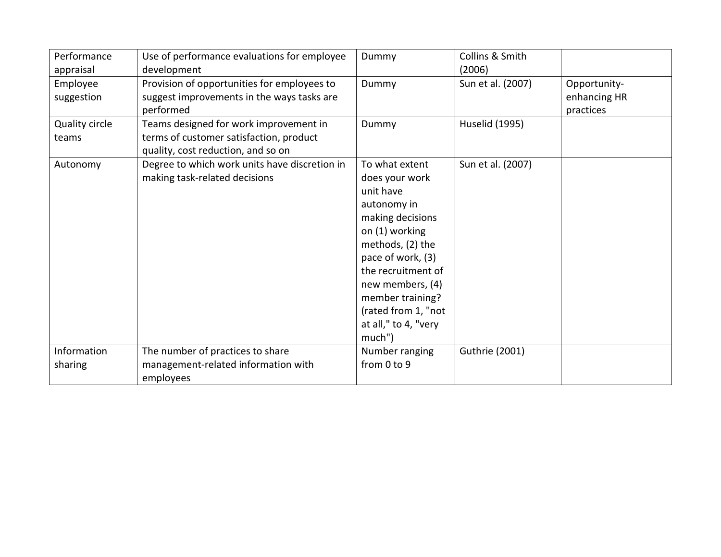| Performance<br>appraisal | Use of performance evaluations for employee<br>development                                                              | Dummy                                                                                                                                                                                                                                                              | Collins & Smith<br>(2006) |                                           |
|--------------------------|-------------------------------------------------------------------------------------------------------------------------|--------------------------------------------------------------------------------------------------------------------------------------------------------------------------------------------------------------------------------------------------------------------|---------------------------|-------------------------------------------|
| Employee<br>suggestion   | Provision of opportunities for employees to<br>suggest improvements in the ways tasks are<br>performed                  | Dummy                                                                                                                                                                                                                                                              | Sun et al. (2007)         | Opportunity-<br>enhancing HR<br>practices |
| Quality circle<br>teams  | Teams designed for work improvement in<br>terms of customer satisfaction, product<br>quality, cost reduction, and so on | Dummy                                                                                                                                                                                                                                                              | <b>Huselid (1995)</b>     |                                           |
| Autonomy                 | Degree to which work units have discretion in<br>making task-related decisions                                          | To what extent<br>does your work<br>unit have<br>autonomy in<br>making decisions<br>on (1) working<br>methods, (2) the<br>pace of work, (3)<br>the recruitment of<br>new members, (4)<br>member training?<br>(rated from 1, "not<br>at all," to 4, "very<br>much") | Sun et al. (2007)         |                                           |
| Information<br>sharing   | The number of practices to share<br>management-related information with<br>employees                                    | Number ranging<br>from 0 to 9                                                                                                                                                                                                                                      | <b>Guthrie (2001)</b>     |                                           |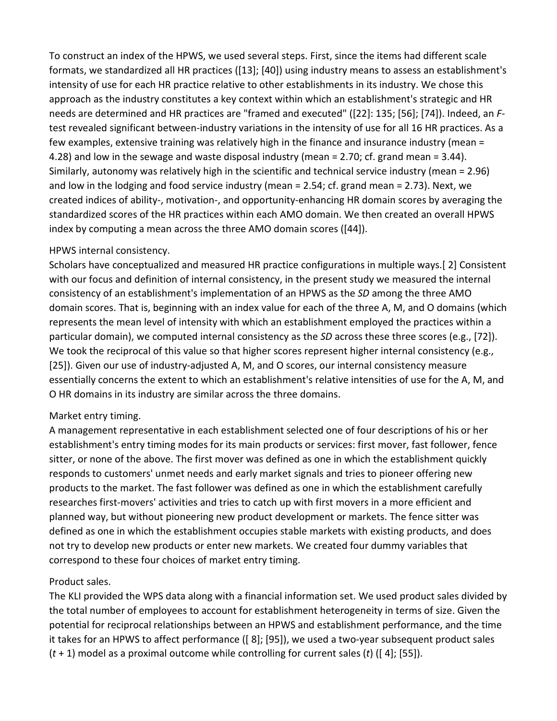To construct an index of the HPWS, we used several steps. First, since the items had different scale formats, we standardized all HR practices ([13]; [40]) using industry means to assess an establishment's intensity of use for each HR practice relative to other establishments in its industry. We chose this approach as the industry constitutes a key context within which an establishment's strategic and HR needs are determined and HR practices are "framed and executed" ([22]: 135; [56]; [74]). Indeed, an *F*test revealed significant between-industry variations in the intensity of use for all 16 HR practices. As a few examples, extensive training was relatively high in the finance and insurance industry (mean = 4.28) and low in the sewage and waste disposal industry (mean = 2.70; cf. grand mean = 3.44). Similarly, autonomy was relatively high in the scientific and technical service industry (mean = 2.96) and low in the lodging and food service industry (mean = 2.54; cf. grand mean = 2.73). Next, we created indices of ability-, motivation-, and opportunity-enhancing HR domain scores by averaging the standardized scores of the HR practices within each AMO domain. We then created an overall HPWS index by computing a mean across the three AMO domain scores ([44]).

#### HPWS internal consistency.

Scholars have conceptualized and measured HR practice configurations in multiple ways.[ 2] Consistent with our focus and definition of internal consistency, in the present study we measured the internal consistency of an establishment's implementation of an HPWS as the *SD* among the three AMO domain scores. That is, beginning with an index value for each of the three A, M, and O domains (which represents the mean level of intensity with which an establishment employed the practices within a particular domain), we computed internal consistency as the *SD* across these three scores (e.g., [72]). We took the reciprocal of this value so that higher scores represent higher internal consistency (e.g., [25]). Given our use of industry-adjusted A, M, and O scores, our internal consistency measure essentially concerns the extent to which an establishment's relative intensities of use for the A, M, and O HR domains in its industry are similar across the three domains.

#### Market entry timing.

A management representative in each establishment selected one of four descriptions of his or her establishment's entry timing modes for its main products or services: first mover, fast follower, fence sitter, or none of the above. The first mover was defined as one in which the establishment quickly responds to customers' unmet needs and early market signals and tries to pioneer offering new products to the market. The fast follower was defined as one in which the establishment carefully researches first-movers' activities and tries to catch up with first movers in a more efficient and planned way, but without pioneering new product development or markets. The fence sitter was defined as one in which the establishment occupies stable markets with existing products, and does not try to develop new products or enter new markets. We created four dummy variables that correspond to these four choices of market entry timing.

#### Product sales.

The KLI provided the WPS data along with a financial information set. We used product sales divided by the total number of employees to account for establishment heterogeneity in terms of size. Given the potential for reciprocal relationships between an HPWS and establishment performance, and the time it takes for an HPWS to affect performance ([ 8]; [95]), we used a two-year subsequent product sales (*t* + 1) model as a proximal outcome while controlling for current sales (*t*) ([ 4]; [55]).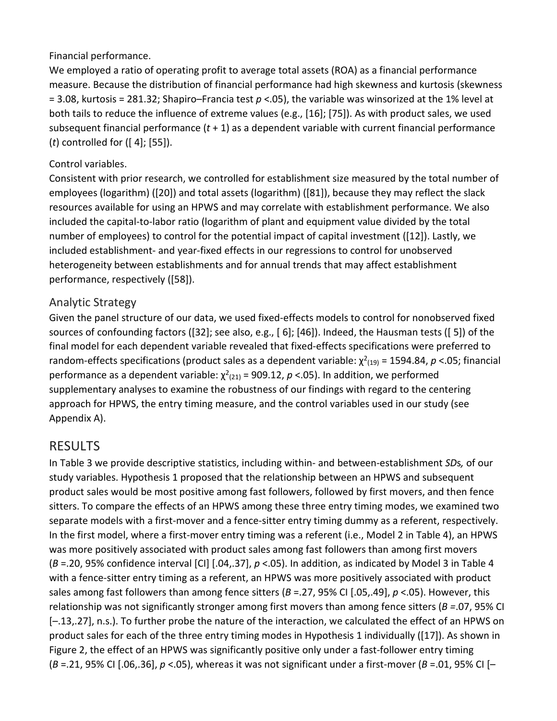Financial performance.

We employed a ratio of operating profit to average total assets (ROA) as a financial performance measure. Because the distribution of financial performance had high skewness and kurtosis (skewness = 3.08, kurtosis = 281.32; Shapiro–Francia test *p* <.05), the variable was winsorized at the 1% level at both tails to reduce the influence of extreme values (e.g., [16]; [75]). As with product sales, we used subsequent financial performance (*t* + 1) as a dependent variable with current financial performance (*t*) controlled for ([ 4]; [55]).

## Control variables.

Consistent with prior research, we controlled for establishment size measured by the total number of employees (logarithm) ([20]) and total assets (logarithm) ([81]), because they may reflect the slack resources available for using an HPWS and may correlate with establishment performance. We also included the capital-to-labor ratio (logarithm of plant and equipment value divided by the total number of employees) to control for the potential impact of capital investment ([12]). Lastly, we included establishment- and year-fixed effects in our regressions to control for unobserved heterogeneity between establishments and for annual trends that may affect establishment performance, respectively ([58]).

# Analytic Strategy

Given the panel structure of our data, we used fixed-effects models to control for nonobserved fixed sources of confounding factors ([32]; see also, e.g., [ 6]; [46]). Indeed, the Hausman tests ([ 5]) of the final model for each dependent variable revealed that fixed-effects specifications were preferred to random-effects specifications (product sales as a dependent variable:  $\chi^2_{(19)}$  = 1594.84, p <.05; financial performance as a dependent variable:  $\chi^2_{(21)}$  = 909.12,  $p$  <.05). In addition, we performed supplementary analyses to examine the robustness of our findings with regard to the centering approach for HPWS, the entry timing measure, and the control variables used in our study (see Appendix A).

# RESULTS

In Table 3 we provide descriptive statistics, including within- and between-establishment *SD*s*,* of our study variables. Hypothesis 1 proposed that the relationship between an HPWS and subsequent product sales would be most positive among fast followers, followed by first movers, and then fence sitters. To compare the effects of an HPWS among these three entry timing modes, we examined two separate models with a first-mover and a fence-sitter entry timing dummy as a referent, respectively. In the first model, where a first-mover entry timing was a referent (i.e., Model 2 in Table 4), an HPWS was more positively associated with product sales among fast followers than among first movers (*B* =.20, 95% confidence interval [CI] [.04,.37], *p* <.05). In addition, as indicated by Model 3 in Table 4 with a fence-sitter entry timing as a referent, an HPWS was more positively associated with product sales among fast followers than among fence sitters (*B* =.27, 95% CI [.05,.49], *p* <.05). However, this relationship was not significantly stronger among first movers than among fence sitters (*B =*.07, 95% CI [–.13,.27], n.s.). To further probe the nature of the interaction, we calculated the effect of an HPWS on product sales for each of the three entry timing modes in Hypothesis 1 individually ([17]). As shown in Figure 2, the effect of an HPWS was significantly positive only under a fast-follower entry timing (*B* =.21, 95% CI [.06,.36], *p* <.05), whereas it was not significant under a first-mover (*B* =.01, 95% CI [–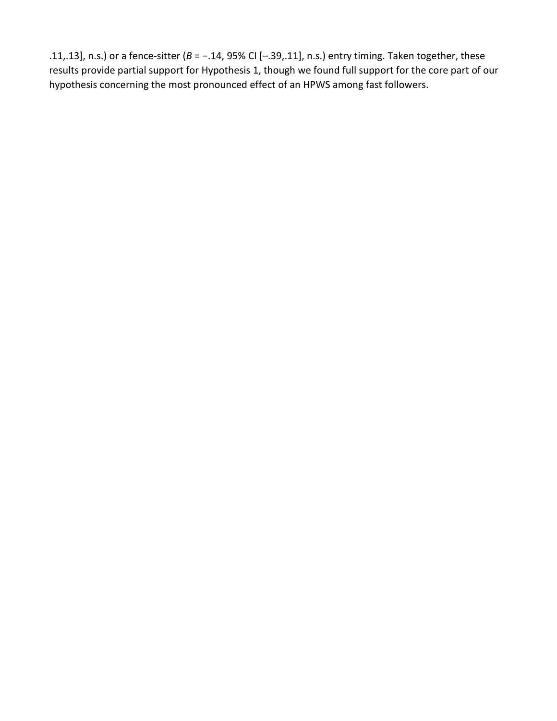.11,.13], n.s.) or a fence-sitter (*B* = −.14, 95% CI [–.39,.11], n.s.) entry timing. Taken together, these results provide partial support for Hypothesis 1, though we found full support for the core part of our hypothesis concerning the most pronounced effect of an HPWS among fast followers.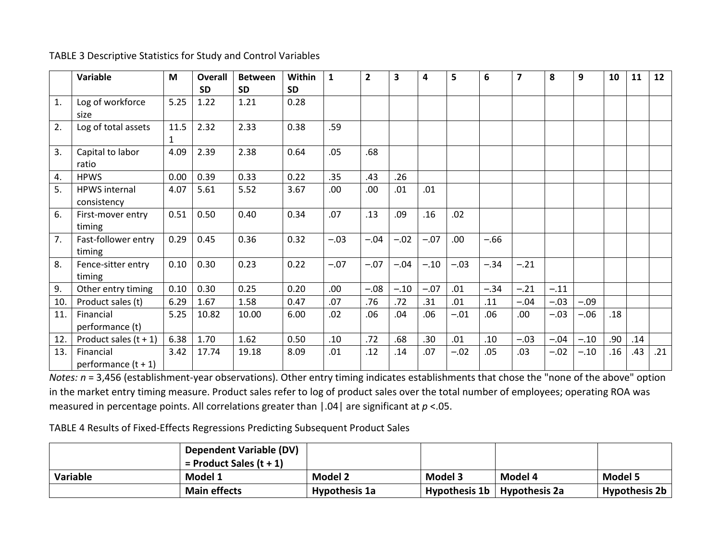#### TABLE 3 Descriptive Statistics for Study and Control Variables

|     | Variable                | M    | <b>Overall</b> | <b>Between</b> | <b>Within</b> | $\mathbf{1}$ | $\overline{2}$ | 3      | 4      | 5      | 6      | $\overline{7}$ | 8      | 9      | 10  | 11  | 12  |
|-----|-------------------------|------|----------------|----------------|---------------|--------------|----------------|--------|--------|--------|--------|----------------|--------|--------|-----|-----|-----|
|     |                         |      | <b>SD</b>      | <b>SD</b>      | <b>SD</b>     |              |                |        |        |        |        |                |        |        |     |     |     |
| 1.  | Log of workforce        | 5.25 | 1.22           | 1.21           | 0.28          |              |                |        |        |        |        |                |        |        |     |     |     |
|     | size                    |      |                |                |               |              |                |        |        |        |        |                |        |        |     |     |     |
| 2.  | Log of total assets     | 11.5 | 2.32           | 2.33           | 0.38          | .59          |                |        |        |        |        |                |        |        |     |     |     |
|     |                         | 1    |                |                |               |              |                |        |        |        |        |                |        |        |     |     |     |
| 3.  | Capital to labor        | 4.09 | 2.39           | 2.38           | 0.64          | .05          | .68            |        |        |        |        |                |        |        |     |     |     |
|     | ratio                   |      |                |                |               |              |                |        |        |        |        |                |        |        |     |     |     |
| 4.  | <b>HPWS</b>             | 0.00 | 0.39           | 0.33           | 0.22          | .35          | .43            | .26    |        |        |        |                |        |        |     |     |     |
| 5.  | <b>HPWS</b> internal    | 4.07 | 5.61           | 5.52           | 3.67          | .00          | .00.           | .01    | .01    |        |        |                |        |        |     |     |     |
|     | consistency             |      |                |                |               |              |                |        |        |        |        |                |        |        |     |     |     |
| 6.  | First-mover entry       | 0.51 | 0.50           | 0.40           | 0.34          | .07          | .13            | .09    | .16    | .02    |        |                |        |        |     |     |     |
|     | timing                  |      |                |                |               |              |                |        |        |        |        |                |        |        |     |     |     |
| 7.  | Fast-follower entry     | 0.29 | 0.45           | 0.36           | 0.32          | $-.03$       | $-.04$         | $-.02$ | $-.07$ | .00    | $-.66$ |                |        |        |     |     |     |
|     | timing                  |      |                |                |               |              |                |        |        |        |        |                |        |        |     |     |     |
| 8.  | Fence-sitter entry      | 0.10 | 0.30           | 0.23           | 0.22          | $-.07$       | $-.07$         | $-.04$ | $-.10$ | $-.03$ | $-.34$ | $-.21$         |        |        |     |     |     |
|     | timing                  |      |                |                |               |              |                |        |        |        |        |                |        |        |     |     |     |
| 9.  | Other entry timing      | 0.10 | 0.30           | 0.25           | 0.20          | .00          | $-.08$         | $-.10$ | $-.07$ | .01    | $-.34$ | $-.21$         | $-.11$ |        |     |     |     |
| 10. | Product sales (t)       | 6.29 | 1.67           | 1.58           | 0.47          | .07          | .76            | .72    | .31    | .01    | .11    | $-.04$         | $-.03$ | $-.09$ |     |     |     |
| 11. | Financial               | 5.25 | 10.82          | 10.00          | 6.00          | .02          | .06            | .04    | .06    | $-.01$ | .06    | .00.           | $-.03$ | $-.06$ | .18 |     |     |
|     | performance (t)         |      |                |                |               |              |                |        |        |        |        |                |        |        |     |     |     |
| 12. | Product sales $(t + 1)$ | 6.38 | 1.70           | 1.62           | 0.50          | .10          | .72            | .68    | .30    | .01    | .10    | $-.03$         | $-.04$ | $-.10$ | .90 | .14 |     |
| 13. | Financial               | 3.42 | 17.74          | 19.18          | 8.09          | .01          | .12            | .14    | .07    | $-.02$ | .05    | .03            | $-.02$ | $-.10$ | .16 | .43 | .21 |
|     | performance $(t + 1)$   |      |                |                |               |              |                |        |        |        |        |                |        |        |     |     |     |

*Notes: n* = 3,456 (establishment-year observations). Other entry timing indicates establishments that chose the "none of the above" option in the market entry timing measure. Product sales refer to log of product sales over the total number of employees; operating ROA was measured in percentage points. All correlations greater than |.04| are significant at *p* <.05.

TABLE 4 Results of Fixed-Effects Regressions Predicting Subsequent Product Sales

|          | <b>Dependent Variable (DV)</b> |                |                                 |         |                |
|----------|--------------------------------|----------------|---------------------------------|---------|----------------|
|          | $=$ Product Sales (t + 1)      |                |                                 |         |                |
| Variable | Model 1                        | <b>Model 2</b> | Model 3                         | Model 4 | <b>Model 5</b> |
|          | <b>Main effects</b>            | Hypothesis 1a  | Hypothesis $1b$   Hypothesis 2a |         | Hypothesis 2b  |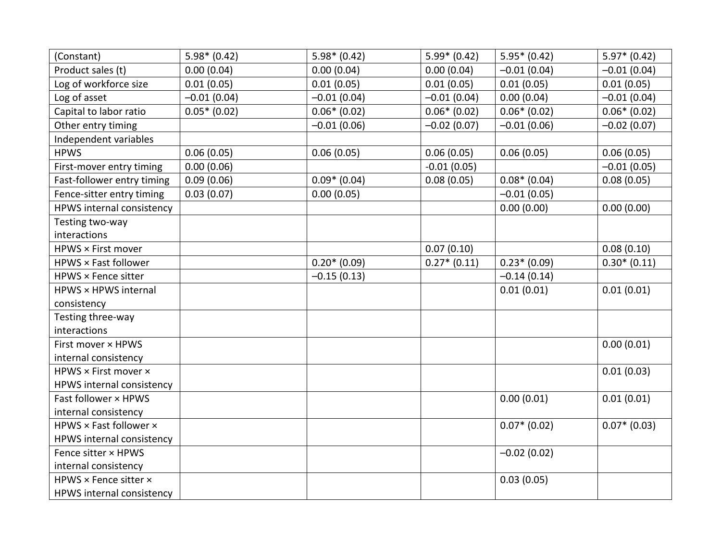| (Constant)                 | $5.98*(0.42)$  | $5.98*(0.42)$  | $5.99* (0.42)$ | $5.95*(0.42)$  | $5.97* (0.42)$ |
|----------------------------|----------------|----------------|----------------|----------------|----------------|
| Product sales (t)          | 0.00(0.04)     | 0.00(0.04)     | 0.00(0.04)     | $-0.01(0.04)$  | $-0.01(0.04)$  |
| Log of workforce size      | 0.01(0.05)     | 0.01(0.05)     | 0.01(0.05)     | 0.01(0.05)     | 0.01(0.05)     |
| Log of asset               | $-0.01(0.04)$  | $-0.01(0.04)$  | $-0.01(0.04)$  | 0.00(0.04)     | $-0.01(0.04)$  |
| Capital to labor ratio     | $0.05*$ (0.02) | $0.06*(0.02)$  | $0.06*(0.02)$  | $0.06*(0.02)$  | $0.06*(0.02)$  |
| Other entry timing         |                | $-0.01(0.06)$  | $-0.02(0.07)$  | $-0.01(0.06)$  | $-0.02(0.07)$  |
| Independent variables      |                |                |                |                |                |
| <b>HPWS</b>                | 0.06(0.05)     | 0.06(0.05)     | 0.06(0.05)     | 0.06(0.05)     | 0.06(0.05)     |
| First-mover entry timing   | 0.00(0.06)     |                | $-0.01(0.05)$  |                | $-0.01(0.05)$  |
| Fast-follower entry timing | 0.09(0.06)     | $0.09* (0.04)$ | 0.08(0.05)     | $0.08*(0.04)$  | 0.08(0.05)     |
| Fence-sitter entry timing  | 0.03(0.07)     | 0.00(0.05)     |                | $-0.01(0.05)$  |                |
| HPWS internal consistency  |                |                |                | 0.00(0.00)     | 0.00(0.00)     |
| Testing two-way            |                |                |                |                |                |
| interactions               |                |                |                |                |                |
| HPWS × First mover         |                |                | 0.07(0.10)     |                | 0.08(0.10)     |
| HPWS × Fast follower       |                | $0.20*(0.09)$  | $0.27*(0.11)$  | $0.23*(0.09)$  | $0.30*(0.11)$  |
| HPWS × Fence sitter        |                | $-0.15(0.13)$  |                | $-0.14(0.14)$  |                |
| HPWS × HPWS internal       |                |                |                | 0.01(0.01)     | 0.01(0.01)     |
| consistency                |                |                |                |                |                |
| Testing three-way          |                |                |                |                |                |
| interactions               |                |                |                |                |                |
| First mover × HPWS         |                |                |                |                | 0.00(0.01)     |
| internal consistency       |                |                |                |                |                |
| HPWS × First mover ×       |                |                |                |                | 0.01(0.03)     |
| HPWS internal consistency  |                |                |                |                |                |
| Fast follower × HPWS       |                |                |                | 0.00(0.01)     | 0.01(0.01)     |
| internal consistency       |                |                |                |                |                |
| HPWS × Fast follower ×     |                |                |                | $0.07*$ (0.02) | $0.07*$ (0.03) |
| HPWS internal consistency  |                |                |                |                |                |
| Fence sitter × HPWS        |                |                |                | $-0.02(0.02)$  |                |
| internal consistency       |                |                |                |                |                |
| HPWS × Fence sitter ×      |                |                |                | 0.03(0.05)     |                |
| HPWS internal consistency  |                |                |                |                |                |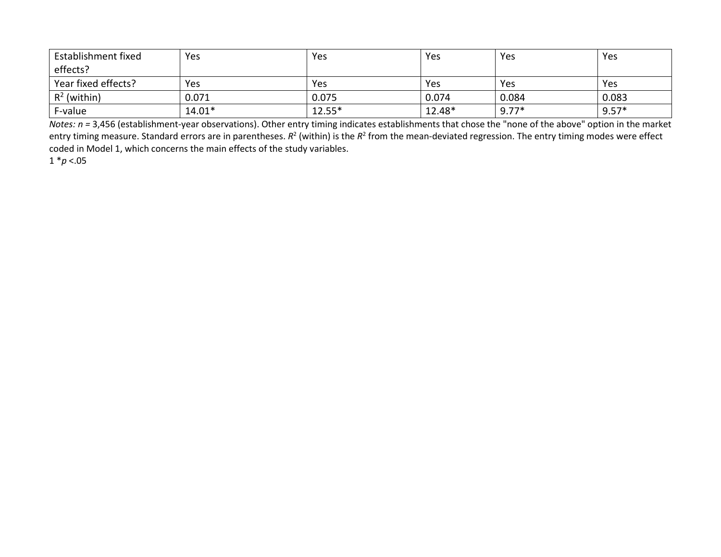| Establishment fixed | Yes      | Yes      | Yes    | Yes     | Yes     |
|---------------------|----------|----------|--------|---------|---------|
| effects?            |          |          |        |         |         |
| Year fixed effects? | Yes      | Yes      | Yes    | Yes     | Yes     |
| $R^2$ (within)      | 0.071    | 0.075    | 0.074  | 0.084   | 0.083   |
| F-value             | $14.01*$ | $12.55*$ | 12.48* | $9.77*$ | $9.57*$ |

*Notes: n =* 3,456 (establishment-year observations). Other entry timing indicates establishments that chose the "none of the above" option in the market entry timing measure. Standard errors are in parentheses.  $R^2$  (within) is the  $R^2$  from the mean-deviated regression. The entry timing modes were effect coded in Model 1, which concerns the main effects of the study variables.

1 \**p* <.05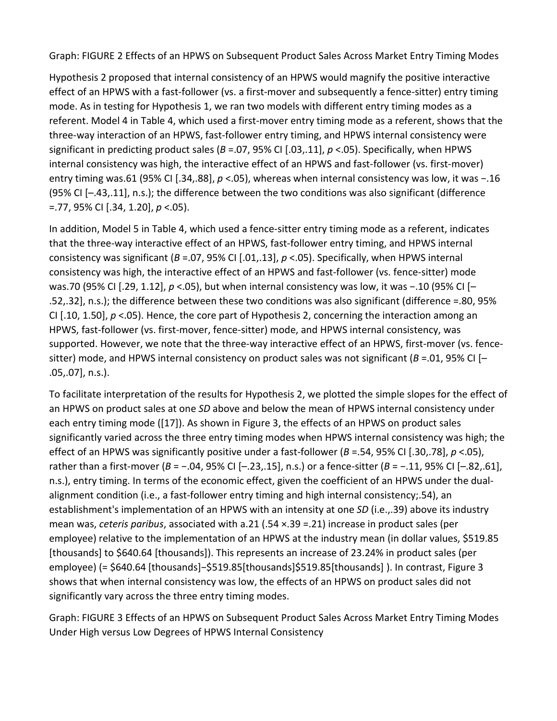Graph: FIGURE 2 Effects of an HPWS on Subsequent Product Sales Across Market Entry Timing Modes

Hypothesis 2 proposed that internal consistency of an HPWS would magnify the positive interactive effect of an HPWS with a fast-follower (vs. a first-mover and subsequently a fence-sitter) entry timing mode. As in testing for Hypothesis 1, we ran two models with different entry timing modes as a referent. Model 4 in Table 4, which used a first-mover entry timing mode as a referent, shows that the three-way interaction of an HPWS, fast-follower entry timing, and HPWS internal consistency were significant in predicting product sales (*B* =.07, 95% CI [.03,.11], *p* <.05). Specifically, when HPWS internal consistency was high, the interactive effect of an HPWS and fast-follower (vs. first-mover) entry timing was.61 (95% CI [.34,.88], *p* <.05), whereas when internal consistency was low, it was −.16 (95% CI [–.43,.11], n.s.); the difference between the two conditions was also significant (difference =.77, 95% CI [.34, 1.20], *p* <.05).

In addition, Model 5 in Table 4, which used a fence-sitter entry timing mode as a referent, indicates that the three-way interactive effect of an HPWS, fast-follower entry timing, and HPWS internal consistency was significant (*B* =.07, 95% CI [.01,.13], *p* <.05). Specifically, when HPWS internal consistency was high, the interactive effect of an HPWS and fast-follower (vs. fence-sitter) mode was.70 (95% CI [.29, 1.12], *p* <.05), but when internal consistency was low, it was -.10 (95% CI [-.52,.32], n.s.); the difference between these two conditions was also significant (difference =.80, 95% CI [.10, 1.50], *p* <.05). Hence, the core part of Hypothesis 2, concerning the interaction among an HPWS, fast-follower (vs. first-mover, fence-sitter) mode, and HPWS internal consistency, was supported. However, we note that the three-way interactive effect of an HPWS, first-mover (vs. fencesitter) mode, and HPWS internal consistency on product sales was not significant ( $B = 01$ , 95% CI [-.05,.07], n.s.).

To facilitate interpretation of the results for Hypothesis 2, we plotted the simple slopes for the effect of an HPWS on product sales at one *SD* above and below the mean of HPWS internal consistency under each entry timing mode ([17]). As shown in Figure 3, the effects of an HPWS on product sales significantly varied across the three entry timing modes when HPWS internal consistency was high; the effect of an HPWS was significantly positive under a fast-follower (*B* =.54, 95% CI [.30,.78], *p* <.05), rather than a first-mover (*B* = −.04, 95% CI [–.23,.15], n.s.) or a fence-sitter (*B* = −.11, 95% CI [–.82,.61], n.s.), entry timing. In terms of the economic effect, given the coefficient of an HPWS under the dualalignment condition (i.e., a fast-follower entry timing and high internal consistency;.54), an establishment's implementation of an HPWS with an intensity at one *SD* (i.e.,.39) above its industry mean was, *ceteris paribus*, associated with a.21 (.54 ×.39 =.21) increase in product sales (per employee) relative to the implementation of an HPWS at the industry mean (in dollar values, \$519.85 [thousands] to \$640.64 [thousands]). This represents an increase of 23.24% in product sales (per employee) (= \$640.64 [thousands]-\$519.85[thousands]\$519.85[thousands] ). In contrast, Figure 3 shows that when internal consistency was low, the effects of an HPWS on product sales did not significantly vary across the three entry timing modes.

Graph: FIGURE 3 Effects of an HPWS on Subsequent Product Sales Across Market Entry Timing Modes Under High versus Low Degrees of HPWS Internal Consistency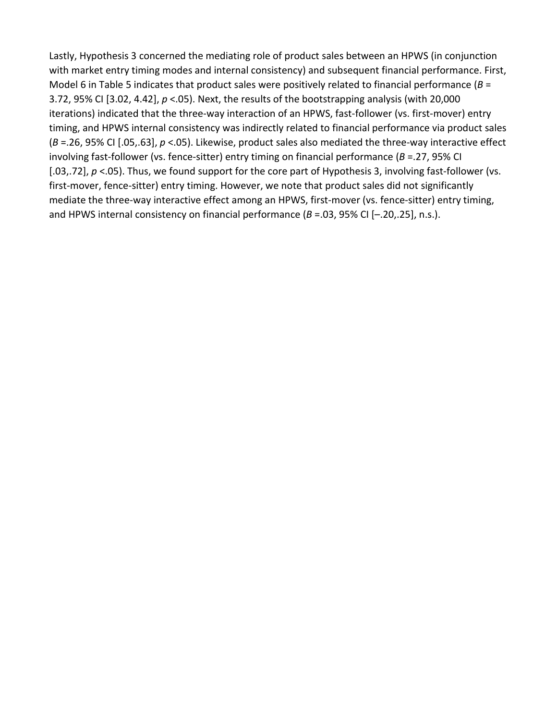Lastly, Hypothesis 3 concerned the mediating role of product sales between an HPWS (in conjunction with market entry timing modes and internal consistency) and subsequent financial performance. First, Model 6 in Table 5 indicates that product sales were positively related to financial performance (*B* = 3.72, 95% CI [3.02, 4.42], *p* <.05). Next, the results of the bootstrapping analysis (with 20,000 iterations) indicated that the three-way interaction of an HPWS, fast-follower (vs. first-mover) entry timing, and HPWS internal consistency was indirectly related to financial performance via product sales (*B* =.26, 95% CI [.05,.63], *p* <.05). Likewise, product sales also mediated the three-way interactive effect involving fast-follower (vs. fence-sitter) entry timing on financial performance (*B* =.27, 95% CI [.03,.72],  $p < 0$ 5). Thus, we found support for the core part of Hypothesis 3, involving fast-follower (vs. first-mover, fence-sitter) entry timing. However, we note that product sales did not significantly mediate the three-way interactive effect among an HPWS, first-mover (vs. fence-sitter) entry timing, and HPWS internal consistency on financial performance (*B* =.03, 95% CI [–.20,.25], n.s.).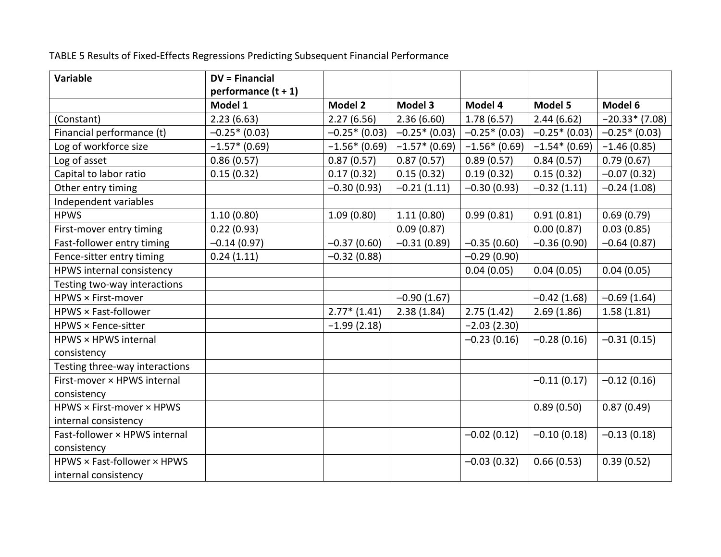TABLE 5 Results of Fixed-Effects Regressions Predicting Subsequent Financial Performance

| Variable                       | <b>DV = Financial</b> |                |                 |                |                |                 |
|--------------------------------|-----------------------|----------------|-----------------|----------------|----------------|-----------------|
|                                | performance $(t + 1)$ |                |                 |                |                |                 |
|                                | Model 1               | <b>Model 2</b> | Model 3         | Model 4        | Model 5        | Model 6         |
| (Constant)                     | 2.23(6.63)            | 2.27(6.56)     | 2.36(6.60)      | 1.78(6.57)     | 2.44(6.62)     | $-20.33*(7.08)$ |
| Financial performance (t)      | $-0.25*(0.03)$        | $-0.25*(0.03)$ | $-0.25*(0.03)$  | $-0.25*(0.03)$ | $-0.25*(0.03)$ | $-0.25*(0.03)$  |
| Log of workforce size          | $-1.57*$ (0.69)       | $-1.56*(0.69)$ | $-1.57*$ (0.69) | $-1.56*(0.69)$ | $-1.54*(0.69)$ | $-1.46(0.85)$   |
| Log of asset                   | 0.86(0.57)            | 0.87(0.57)     | 0.87(0.57)      | 0.89(0.57)     | 0.84(0.57)     | 0.79(0.67)      |
| Capital to labor ratio         | 0.15(0.32)            | 0.17(0.32)     | 0.15(0.32)      | 0.19(0.32)     | 0.15(0.32)     | $-0.07(0.32)$   |
| Other entry timing             |                       | $-0.30(0.93)$  | $-0.21(1.11)$   | $-0.30(0.93)$  | $-0.32(1.11)$  | $-0.24(1.08)$   |
| Independent variables          |                       |                |                 |                |                |                 |
| <b>HPWS</b>                    | 1.10(0.80)            | 1.09(0.80)     | 1.11(0.80)      | 0.99(0.81)     | 0.91(0.81)     | 0.69(0.79)      |
| First-mover entry timing       | 0.22(0.93)            |                | 0.09(0.87)      |                | 0.00(0.87)     | 0.03(0.85)      |
| Fast-follower entry timing     | $-0.14(0.97)$         | $-0.37(0.60)$  | $-0.31(0.89)$   | $-0.35(0.60)$  | $-0.36(0.90)$  | $-0.64(0.87)$   |
| Fence-sitter entry timing      | 0.24(1.11)            | $-0.32(0.88)$  |                 | $-0.29(0.90)$  |                |                 |
| HPWS internal consistency      |                       |                |                 | 0.04(0.05)     | 0.04(0.05)     | 0.04(0.05)      |
| Testing two-way interactions   |                       |                |                 |                |                |                 |
| HPWS × First-mover             |                       |                | $-0.90(1.67)$   |                | $-0.42(1.68)$  | $-0.69(1.64)$   |
| HPWS × Fast-follower           |                       | $2.77*$ (1.41) | 2.38(1.84)      | 2.75(1.42)     | 2.69(1.86)     | 1.58(1.81)      |
| HPWS × Fence-sitter            |                       | $-1.99(2.18)$  |                 | $-2.03(2.30)$  |                |                 |
| HPWS × HPWS internal           |                       |                |                 | $-0.23(0.16)$  | $-0.28(0.16)$  | $-0.31(0.15)$   |
| consistency                    |                       |                |                 |                |                |                 |
| Testing three-way interactions |                       |                |                 |                |                |                 |
| First-mover × HPWS internal    |                       |                |                 |                | $-0.11(0.17)$  | $-0.12(0.16)$   |
| consistency                    |                       |                |                 |                |                |                 |
| HPWS × First-mover × HPWS      |                       |                |                 |                | 0.89(0.50)     | 0.87(0.49)      |
| internal consistency           |                       |                |                 |                |                |                 |
| Fast-follower × HPWS internal  |                       |                |                 | $-0.02(0.12)$  | $-0.10(0.18)$  | $-0.13(0.18)$   |
| consistency                    |                       |                |                 |                |                |                 |
| HPWS × Fast-follower × HPWS    |                       |                |                 | $-0.03(0.32)$  | 0.66(0.53)     | 0.39(0.52)      |
| internal consistency           |                       |                |                 |                |                |                 |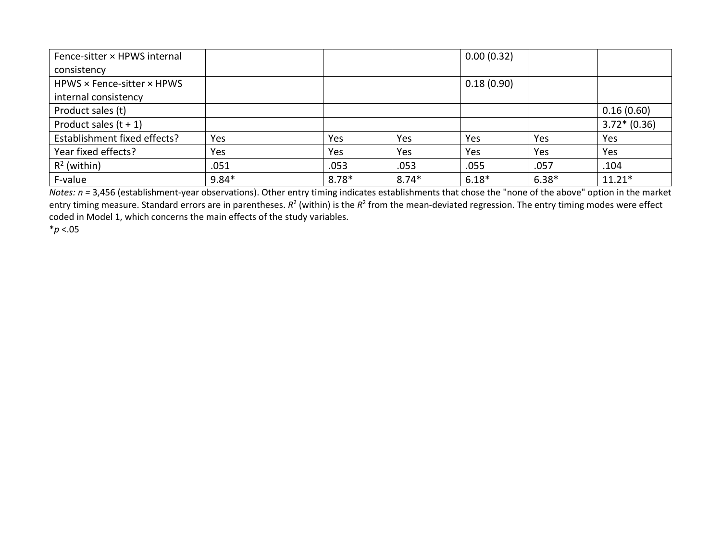| Fence-sitter × HPWS internal |         |         |         | 0.00(0.32) |         |               |
|------------------------------|---------|---------|---------|------------|---------|---------------|
| consistency                  |         |         |         |            |         |               |
| HPWS × Fence-sitter × HPWS   |         |         |         | 0.18(0.90) |         |               |
| internal consistency         |         |         |         |            |         |               |
| Product sales (t)            |         |         |         |            |         | 0.16(0.60)    |
| Product sales $(t + 1)$      |         |         |         |            |         | $3.72*(0.36)$ |
| Establishment fixed effects? | Yes     | Yes     | Yes     | Yes        | Yes     | Yes           |
| Year fixed effects?          | Yes     | Yes     | Yes     | Yes        | Yes     | Yes           |
| $R^2$ (within)               | .051    | .053    | .053    | .055       | .057    | .104          |
| F-value                      | $9.84*$ | $8.78*$ | $8.74*$ | $6.18*$    | $6.38*$ | $11.21*$      |

*Notes: n =* 3,456 (establishment-year observations). Other entry timing indicates establishments that chose the "none of the above" option in the market entry timing measure. Standard errors are in parentheses.  $R^2$  (within) is the  $R^2$  from the mean-deviated regression. The entry timing modes were effect coded in Model 1, which concerns the main effects of the study variables.

\**p* <.05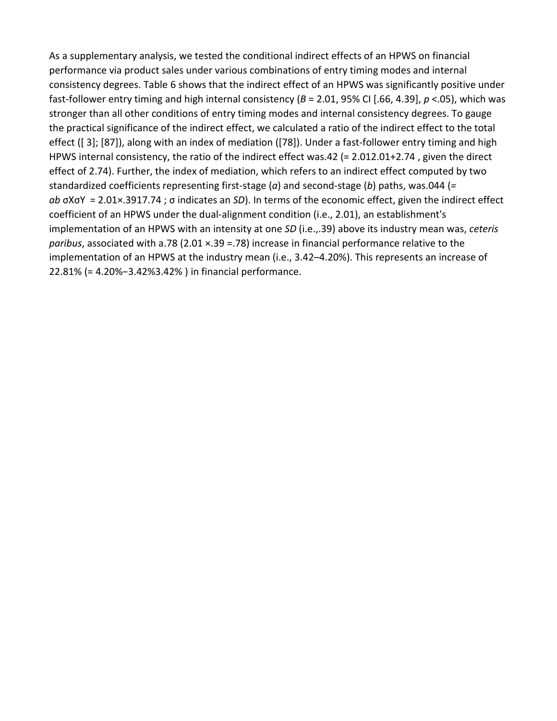As a supplementary analysis, we tested the conditional indirect effects of an HPWS on financial performance via product sales under various combinations of entry timing modes and internal consistency degrees. Table 6 shows that the indirect effect of an HPWS was significantly positive under fast-follower entry timing and high internal consistency (*B* = 2.01, 95% CI [.66, 4.39], *p* <.05), which was stronger than all other conditions of entry timing modes and internal consistency degrees. To gauge the practical significance of the indirect effect, we calculated a ratio of the indirect effect to the total effect ([ 3]; [87]), along with an index of mediation ([78]). Under a fast-follower entry timing and high HPWS internal consistency, the ratio of the indirect effect was.42 (= 2.012.01+2.74 , given the direct effect of 2.74). Further, the index of mediation, which refers to an indirect effect computed by two standardized coefficients representing first-stage (*a*) and second-stage (*b*) paths, was.044 (*= ab* σXσY  = 2.01×.3917.74 ; σ indicates an *SD*). In terms of the economic effect, given the indirect effect coefficient of an HPWS under the dual-alignment condition (i.e., 2.01), an establishment's implementation of an HPWS with an intensity at one *SD* (i.e.,.39) above its industry mean was, *ceteris paribus*, associated with a.78 (2.01 ×.39 =.78) increase in financial performance relative to the implementation of an HPWS at the industry mean (i.e., 3.42-4.20%). This represents an increase of 22.81% (= 4.20%−3.42%3.42% ) in financial performance.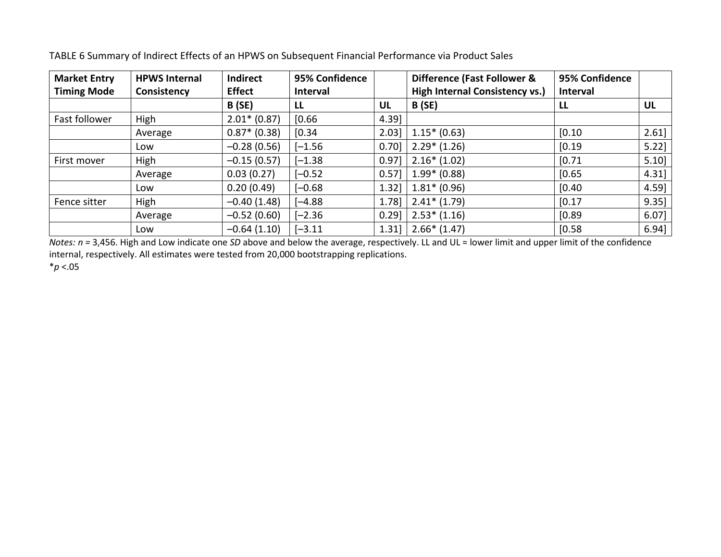| <b>Market Entry</b> | <b>HPWS Internal</b> | Indirect       | 95% Confidence  |      | Difference (Fast Follower &           | 95% Confidence  |           |
|---------------------|----------------------|----------------|-----------------|------|---------------------------------------|-----------------|-----------|
| <b>Timing Mode</b>  | Consistency          | <b>Effect</b>  | <b>Interval</b> |      | <b>High Internal Consistency vs.)</b> | <b>Interval</b> |           |
|                     |                      | <b>B</b> (SE)  | LL              | UL   | <b>B</b> (SE)                         | LL              | <b>UL</b> |
| Fast follower       | High                 | $2.01* (0.87)$ | [0.66]          | 4.39 |                                       |                 |           |
|                     | Average              | $0.87* (0.38)$ | [0.34]          | 2.03 | $1.15*(0.63)$                         | [0.10]          | 2.61]     |
|                     | Low                  | $-0.28(0.56)$  | $[-1.56]$       | 0.70 | $2.29*(1.26)$                         | [0.19]          | $5.22$ ]  |
| First mover         | High                 | $-0.15(0.57)$  | $[-1.38]$       | 0.97 | $2.16*(1.02)$                         | [0.71]          | 5.10      |
|                     | Average              | 0.03(0.27)     | $[-0.52]$       | 0.57 | $1.99* (0.88)$                        | [0.65]          | $4.31$ ]  |
|                     | Low                  | 0.20(0.49)     | $[-0.68]$       | 1.32 | $1.81* (0.96)$                        | [0.40]          | 4.59      |
| Fence sitter        | High                 | $-0.40(1.48)$  | $[-4.88]$       | 1.78 | $2.41*$ (1.79)                        | [0.17]          | $9.35$ ]  |
|                     | Average              | $-0.52(0.60)$  | $[-2.36]$       | 0.29 | $2.53*(1.16)$                         | [0.89]          | $6.07$ ]  |
|                     | Low                  | $-0.64(1.10)$  | $[-3.11]$       | 1.31 | $2.66*$ (1.47)                        | [0.58]          | 6.94      |

TABLE 6 Summary of Indirect Effects of an HPWS on Subsequent Financial Performance via Product Sales

*Notes: n =* 3,456. High and Low indicate one *SD* above and below the average, respectively. LL and UL = lower limit and upper limit of the confidence internal, respectively. All estimates were tested from 20,000 bootstrapping replications.

\**p* <.05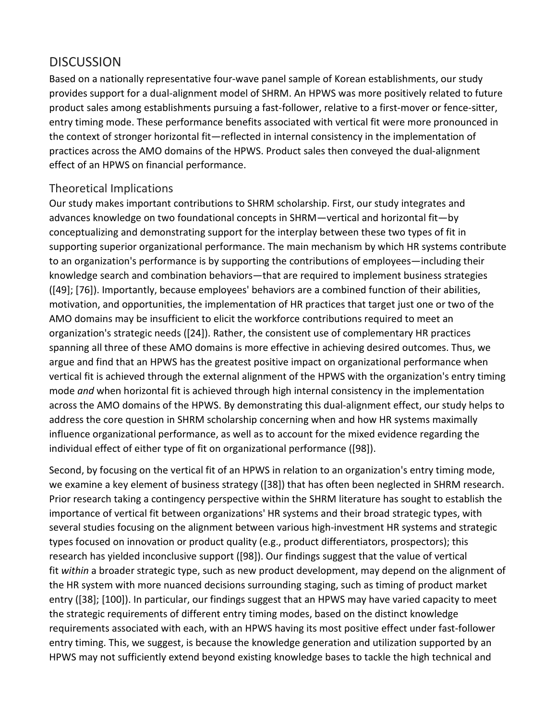# **DISCUSSION**

Based on a nationally representative four-wave panel sample of Korean establishments, our study provides support for a dual-alignment model of SHRM. An HPWS was more positively related to future product sales among establishments pursuing a fast-follower, relative to a first-mover or fence-sitter, entry timing mode. These performance benefits associated with vertical fit were more pronounced in the context of stronger horizontal fit—reflected in internal consistency in the implementation of practices across the AMO domains of the HPWS. Product sales then conveyed the dual-alignment effect of an HPWS on financial performance.

## Theoretical Implications

Our study makes important contributions to SHRM scholarship. First, our study integrates and advances knowledge on two foundational concepts in SHRM—vertical and horizontal fit—by conceptualizing and demonstrating support for the interplay between these two types of fit in supporting superior organizational performance. The main mechanism by which HR systems contribute to an organization's performance is by supporting the contributions of employees—including their knowledge search and combination behaviors—that are required to implement business strategies ([49]; [76]). Importantly, because employees' behaviors are a combined function of their abilities, motivation, and opportunities, the implementation of HR practices that target just one or two of the AMO domains may be insufficient to elicit the workforce contributions required to meet an organization's strategic needs ([24]). Rather, the consistent use of complementary HR practices spanning all three of these AMO domains is more effective in achieving desired outcomes. Thus, we argue and find that an HPWS has the greatest positive impact on organizational performance when vertical fit is achieved through the external alignment of the HPWS with the organization's entry timing mode *and* when horizontal fit is achieved through high internal consistency in the implementation across the AMO domains of the HPWS. By demonstrating this dual-alignment effect, our study helps to address the core question in SHRM scholarship concerning when and how HR systems maximally influence organizational performance, as well as to account for the mixed evidence regarding the individual effect of either type of fit on organizational performance ([98]).

Second, by focusing on the vertical fit of an HPWS in relation to an organization's entry timing mode, we examine a key element of business strategy ([38]) that has often been neglected in SHRM research. Prior research taking a contingency perspective within the SHRM literature has sought to establish the importance of vertical fit between organizations' HR systems and their broad strategic types, with several studies focusing on the alignment between various high-investment HR systems and strategic types focused on innovation or product quality (e.g., product differentiators, prospectors); this research has yielded inconclusive support ([98]). Our findings suggest that the value of vertical fit *within* a broader strategic type, such as new product development, may depend on the alignment of the HR system with more nuanced decisions surrounding staging, such as timing of product market entry ([38]; [100]). In particular, our findings suggest that an HPWS may have varied capacity to meet the strategic requirements of different entry timing modes, based on the distinct knowledge requirements associated with each, with an HPWS having its most positive effect under fast-follower entry timing. This, we suggest, is because the knowledge generation and utilization supported by an HPWS may not sufficiently extend beyond existing knowledge bases to tackle the high technical and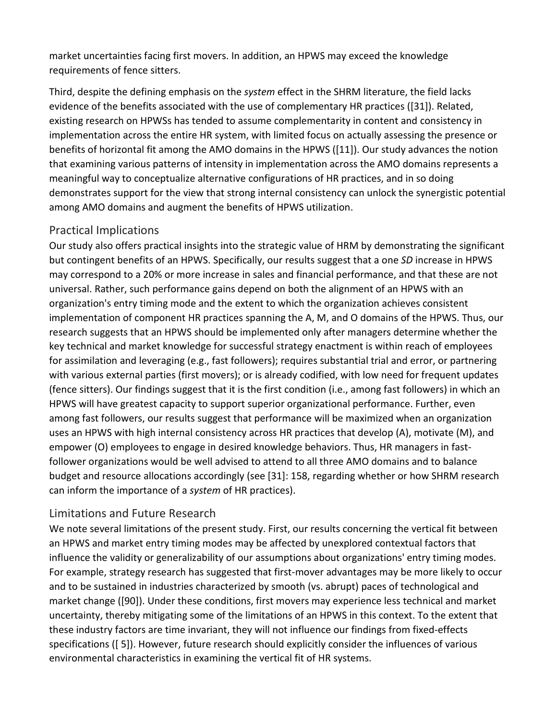market uncertainties facing first movers. In addition, an HPWS may exceed the knowledge requirements of fence sitters.

Third, despite the defining emphasis on the *system* effect in the SHRM literature, the field lacks evidence of the benefits associated with the use of complementary HR practices ([31]). Related, existing research on HPWSs has tended to assume complementarity in content and consistency in implementation across the entire HR system, with limited focus on actually assessing the presence or benefits of horizontal fit among the AMO domains in the HPWS ([11]). Our study advances the notion that examining various patterns of intensity in implementation across the AMO domains represents a meaningful way to conceptualize alternative configurations of HR practices, and in so doing demonstrates support for the view that strong internal consistency can unlock the synergistic potential among AMO domains and augment the benefits of HPWS utilization.

## Practical Implications

Our study also offers practical insights into the strategic value of HRM by demonstrating the significant but contingent benefits of an HPWS. Specifically, our results suggest that a one *SD* increase in HPWS may correspond to a 20% or more increase in sales and financial performance, and that these are not universal. Rather, such performance gains depend on both the alignment of an HPWS with an organization's entry timing mode and the extent to which the organization achieves consistent implementation of component HR practices spanning the A, M, and O domains of the HPWS. Thus, our research suggests that an HPWS should be implemented only after managers determine whether the key technical and market knowledge for successful strategy enactment is within reach of employees for assimilation and leveraging (e.g., fast followers); requires substantial trial and error, or partnering with various external parties (first movers); or is already codified, with low need for frequent updates (fence sitters). Our findings suggest that it is the first condition (i.e., among fast followers) in which an HPWS will have greatest capacity to support superior organizational performance. Further, even among fast followers, our results suggest that performance will be maximized when an organization uses an HPWS with high internal consistency across HR practices that develop (A), motivate (M), and empower (O) employees to engage in desired knowledge behaviors. Thus, HR managers in fastfollower organizations would be well advised to attend to all three AMO domains and to balance budget and resource allocations accordingly (see [31]: 158, regarding whether or how SHRM research can inform the importance of a *system* of HR practices).

# Limitations and Future Research

We note several limitations of the present study. First, our results concerning the vertical fit between an HPWS and market entry timing modes may be affected by unexplored contextual factors that influence the validity or generalizability of our assumptions about organizations' entry timing modes. For example, strategy research has suggested that first-mover advantages may be more likely to occur and to be sustained in industries characterized by smooth (vs. abrupt) paces of technological and market change ([90]). Under these conditions, first movers may experience less technical and market uncertainty, thereby mitigating some of the limitations of an HPWS in this context. To the extent that these industry factors are time invariant, they will not influence our findings from fixed-effects specifications ([ 5]). However, future research should explicitly consider the influences of various environmental characteristics in examining the vertical fit of HR systems.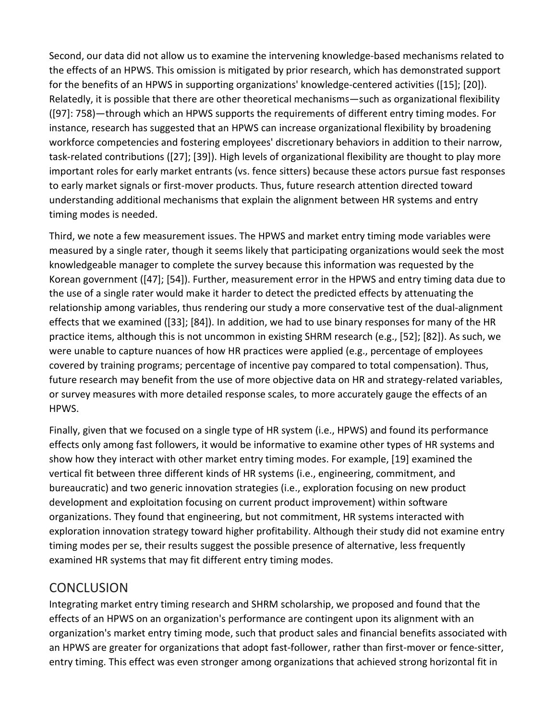Second, our data did not allow us to examine the intervening knowledge-based mechanisms related to the effects of an HPWS. This omission is mitigated by prior research, which has demonstrated support for the benefits of an HPWS in supporting organizations' knowledge-centered activities ([15]; [20]). Relatedly, it is possible that there are other theoretical mechanisms—such as organizational flexibility ([97]: 758)—through which an HPWS supports the requirements of different entry timing modes. For instance, research has suggested that an HPWS can increase organizational flexibility by broadening workforce competencies and fostering employees' discretionary behaviors in addition to their narrow, task-related contributions ([27]; [39]). High levels of organizational flexibility are thought to play more important roles for early market entrants (vs. fence sitters) because these actors pursue fast responses to early market signals or first-mover products. Thus, future research attention directed toward understanding additional mechanisms that explain the alignment between HR systems and entry timing modes is needed.

Third, we note a few measurement issues. The HPWS and market entry timing mode variables were measured by a single rater, though it seems likely that participating organizations would seek the most knowledgeable manager to complete the survey because this information was requested by the Korean government ([47]; [54]). Further, measurement error in the HPWS and entry timing data due to the use of a single rater would make it harder to detect the predicted effects by attenuating the relationship among variables, thus rendering our study a more conservative test of the dual-alignment effects that we examined ([33]; [84]). In addition, we had to use binary responses for many of the HR practice items, although this is not uncommon in existing SHRM research (e.g., [52]; [82]). As such, we were unable to capture nuances of how HR practices were applied (e.g., percentage of employees covered by training programs; percentage of incentive pay compared to total compensation). Thus, future research may benefit from the use of more objective data on HR and strategy-related variables, or survey measures with more detailed response scales, to more accurately gauge the effects of an HPWS.

Finally, given that we focused on a single type of HR system (i.e., HPWS) and found its performance effects only among fast followers, it would be informative to examine other types of HR systems and show how they interact with other market entry timing modes. For example, [19] examined the vertical fit between three different kinds of HR systems (i.e., engineering, commitment, and bureaucratic) and two generic innovation strategies (i.e., exploration focusing on new product development and exploitation focusing on current product improvement) within software organizations. They found that engineering, but not commitment, HR systems interacted with exploration innovation strategy toward higher profitability. Although their study did not examine entry timing modes per se, their results suggest the possible presence of alternative, less frequently examined HR systems that may fit different entry timing modes.

# **CONCLUSION**

Integrating market entry timing research and SHRM scholarship, we proposed and found that the effects of an HPWS on an organization's performance are contingent upon its alignment with an organization's market entry timing mode, such that product sales and financial benefits associated with an HPWS are greater for organizations that adopt fast-follower, rather than first-mover or fence-sitter, entry timing. This effect was even stronger among organizations that achieved strong horizontal fit in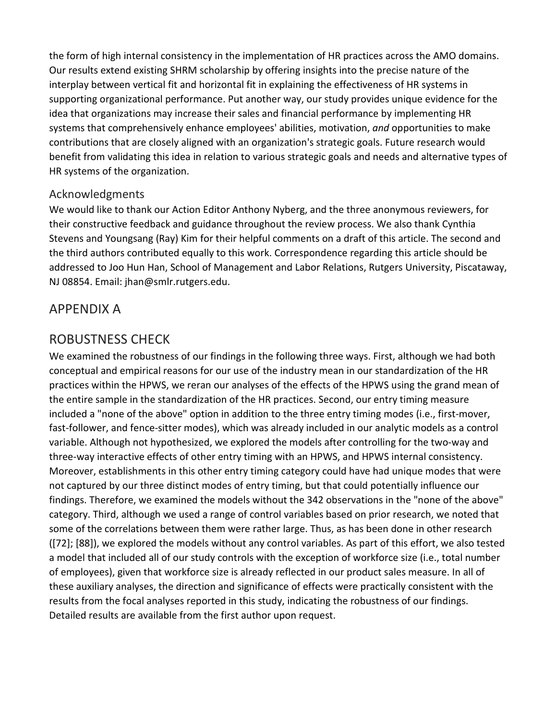the form of high internal consistency in the implementation of HR practices across the AMO domains. Our results extend existing SHRM scholarship by offering insights into the precise nature of the interplay between vertical fit and horizontal fit in explaining the effectiveness of HR systems in supporting organizational performance. Put another way, our study provides unique evidence for the idea that organizations may increase their sales and financial performance by implementing HR systems that comprehensively enhance employees' abilities, motivation, *and* opportunities to make contributions that are closely aligned with an organization's strategic goals. Future research would benefit from validating this idea in relation to various strategic goals and needs and alternative types of HR systems of the organization.

### Acknowledgments

We would like to thank our Action Editor Anthony Nyberg, and the three anonymous reviewers, for their constructive feedback and guidance throughout the review process. We also thank Cynthia Stevens and Youngsang (Ray) Kim for their helpful comments on a draft of this article. The second and the third authors contributed equally to this work. Correspondence regarding this article should be addressed to Joo Hun Han, School of Management and Labor Relations, Rutgers University, Piscataway, NJ 08854. Email: jhan@smlr.rutgers.edu.

# APPENDIX A

# ROBUSTNESS CHECK

We examined the robustness of our findings in the following three ways. First, although we had both conceptual and empirical reasons for our use of the industry mean in our standardization of the HR practices within the HPWS, we reran our analyses of the effects of the HPWS using the grand mean of the entire sample in the standardization of the HR practices. Second, our entry timing measure included a "none of the above" option in addition to the three entry timing modes (i.e., first-mover, fast-follower, and fence-sitter modes), which was already included in our analytic models as a control variable. Although not hypothesized, we explored the models after controlling for the two-way and three-way interactive effects of other entry timing with an HPWS, and HPWS internal consistency. Moreover, establishments in this other entry timing category could have had unique modes that were not captured by our three distinct modes of entry timing, but that could potentially influence our findings. Therefore, we examined the models without the 342 observations in the "none of the above" category. Third, although we used a range of control variables based on prior research, we noted that some of the correlations between them were rather large. Thus, as has been done in other research ([72]; [88]), we explored the models without any control variables. As part of this effort, we also tested a model that included all of our study controls with the exception of workforce size (i.e., total number of employees), given that workforce size is already reflected in our product sales measure. In all of these auxiliary analyses, the direction and significance of effects were practically consistent with the results from the focal analyses reported in this study, indicating the robustness of our findings. Detailed results are available from the first author upon request.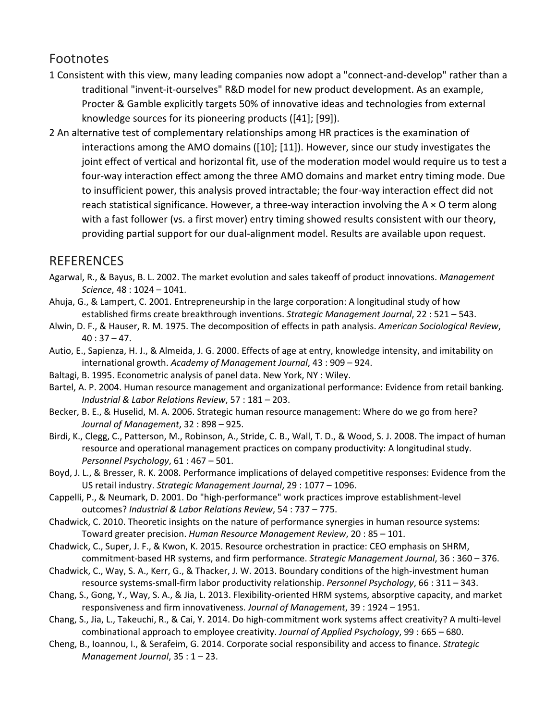# Footnotes

- 1 Consistent with this view, many leading companies now adopt a "connect-and-develop" rather than a traditional "invent-it-ourselves" R&D model for new product development. As an example, Procter & Gamble explicitly targets 50% of innovative ideas and technologies from external knowledge sources for its pioneering products ([41]; [99]).
- 2 An alternative test of complementary relationships among HR practices is the examination of interactions among the AMO domains ([10]; [11]). However, since our study investigates the joint effect of vertical and horizontal fit, use of the moderation model would require us to test a four-way interaction effect among the three AMO domains and market entry timing mode. Due to insufficient power, this analysis proved intractable; the four-way interaction effect did not reach statistical significance. However, a three-way interaction involving the A × O term along with a fast follower (vs. a first mover) entry timing showed results consistent with our theory, providing partial support for our dual-alignment model. Results are available upon request.

# [REFERENCES](https://0-web-a-ebscohost-com.libus.csd.mu.edu/ehost/detail/detail?vid=2&sid=881962c6-8daf-4fbd-b6c1-15c56c585b28%40sdc-v-sessmgr01&bdata=JnNpdGU9ZWhvc3QtbGl2ZQ%3d%3d#toc)

- Agarwal, R., & Bayus, B. L. 2002. The market evolution and sales takeoff of product innovations. *Management Science*, 48 : 1024 – 1041.
- Ahuja, G., & Lampert, C. 2001. Entrepreneurship in the large corporation: A longitudinal study of how established firms create breakthrough inventions. *Strategic Management Journal*, 22 : 521 – 543.
- Alwin, D. F., & Hauser, R. M. 1975. The decomposition of effects in path analysis. *American Sociological Review*,  $40:37-47.$
- Autio, E., Sapienza, H. J., & Almeida, J. G. 2000. Effects of age at entry, knowledge intensity, and imitability on international growth. *Academy of Management Journal*, 43 : 909 – 924.
- Baltagi, B. 1995. Econometric analysis of panel data. New York, NY : Wiley.
- Bartel, A. P. 2004. Human resource management and organizational performance: Evidence from retail banking. *Industrial & Labor Relations Review*, 57 : 181 – 203.
- Becker, B. E., & Huselid, M. A. 2006. Strategic human resource management: Where do we go from here? *Journal of Management*, 32 : 898 – 925.
- Birdi, K., Clegg, C., Patterson, M., Robinson, A., Stride, C. B., Wall, T. D., & Wood, S. J. 2008. The impact of human resource and operational management practices on company productivity: A longitudinal study. *Personnel Psychology*, 61 : 467 – 501.
- Boyd, J. L., & Bresser, R. K. 2008. Performance implications of delayed competitive responses: Evidence from the US retail industry. *Strategic Management Journal*, 29 : 1077 – 1096.
- Cappelli, P., & Neumark, D. 2001. Do "high-performance" work practices improve establishment-level outcomes? *Industrial & Labor Relations Review*, 54 : 737 – 775.
- Chadwick, C. 2010. Theoretic insights on the nature of performance synergies in human resource systems: Toward greater precision. *Human Resource Management Review*, 20 : 85 – 101.
- Chadwick, C., Super, J. F., & Kwon, K. 2015. Resource orchestration in practice: CEO emphasis on SHRM, commitment-based HR systems, and firm performance. *Strategic Management Journal*, 36 : 360 – 376.
- Chadwick, C., Way, S. A., Kerr, G., & Thacker, J. W. 2013. Boundary conditions of the high-investment human resource systems-small-firm labor productivity relationship. *Personnel Psychology*, 66 : 311 – 343.
- Chang, S., Gong, Y., Way, S. A., & Jia, L. 2013. Flexibility-oriented HRM systems, absorptive capacity, and market responsiveness and firm innovativeness. *Journal of Management*, 39 : 1924 – 1951.
- Chang, S., Jia, L., Takeuchi, R., & Cai, Y. 2014. Do high-commitment work systems affect creativity? A multi-level combinational approach to employee creativity. *Journal of Applied Psychology*, 99 : 665 – 680.
- Cheng, B., Ioannou, I., & Serafeim, G. 2014. Corporate social responsibility and access to finance. *Strategic Management Journal*, 35 : 1 – 23.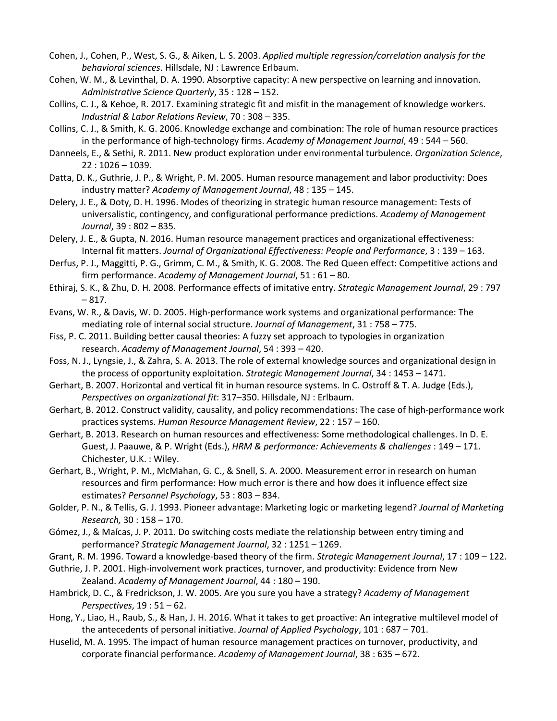- Cohen, J., Cohen, P., West, S. G., & Aiken, L. S. 2003. *Applied multiple regression/correlation analysis for the behavioral sciences*. Hillsdale, NJ : Lawrence Erlbaum.
- Cohen, W. M., & Levinthal, D. A. 1990. Absorptive capacity: A new perspective on learning and innovation. *Administrative Science Quarterly*, 35 : 128 – 152.
- Collins, C. J., & Kehoe, R. 2017. Examining strategic fit and misfit in the management of knowledge workers. *Industrial & Labor Relations Review*, 70 : 308 – 335.
- Collins, C. J., & Smith, K. G. 2006. Knowledge exchange and combination: The role of human resource practices in the performance of high-technology firms. *Academy of Management Journal*, 49 : 544 – 560.
- Danneels, E., & Sethi, R. 2011. New product exploration under environmental turbulence. *Organization Science*, 22 : 1026 – 1039.
- Datta, D. K., Guthrie, J. P., & Wright, P. M. 2005. Human resource management and labor productivity: Does industry matter? *Academy of Management Journal*, 48 : 135 – 145.
- Delery, J. E., & Doty, D. H. 1996. Modes of theorizing in strategic human resource management: Tests of universalistic, contingency, and configurational performance predictions. *Academy of Management Journal*, 39 : 802 – 835.
- Delery, J. E., & Gupta, N. 2016. Human resource management practices and organizational effectiveness: Internal fit matters. *Journal of Organizational Effectiveness: People and Performance*, 3 : 139 – 163.
- Derfus, P. J., Maggitti, P. G., Grimm, C. M., & Smith, K. G. 2008. The Red Queen effect: Competitive actions and firm performance. *Academy of Management Journal*, 51 : 61 – 80.
- Ethiraj, S. K., & Zhu, D. H. 2008. Performance effects of imitative entry. *Strategic Management Journal*, 29 : 797 – 817.
- Evans, W. R., & Davis, W. D. 2005. High-performance work systems and organizational performance: The mediating role of internal social structure. *Journal of Management*, 31 : 758 – 775.
- Fiss, P. C. 2011. Building better causal theories: A fuzzy set approach to typologies in organization research. *Academy of Management Journal*, 54 : 393 – 420.
- Foss, N. J., Lyngsie, J., & Zahra, S. A. 2013. The role of external knowledge sources and organizational design in the process of opportunity exploitation. *Strategic Management Journal*, 34 : 1453 – 1471.
- Gerhart, B. 2007. Horizontal and vertical fit in human resource systems. In C. Ostroff & T. A. Judge (Eds.), *Perspectives on organizational fit*: 317–350. Hillsdale, NJ : Erlbaum.
- Gerhart, B. 2012. Construct validity, causality, and policy recommendations: The case of high-performance work practices systems. *Human Resource Management Review*, 22 : 157 – 160.
- Gerhart, B. 2013. Research on human resources and effectiveness: Some methodological challenges. In D. E. Guest, J. Paauwe, & P. Wright (Eds.), *HRM & performance: Achievements & challenges* : 149 – 171. Chichester, U.K. : Wiley.
- Gerhart, B., Wright, P. M., McMahan, G. C., & Snell, S. A. 2000. Measurement error in research on human resources and firm performance: How much error is there and how does it influence effect size estimates? *Personnel Psychology*, 53 : 803 – 834.
- Golder, P. N., & Tellis, G. J. 1993. Pioneer advantage: Marketing logic or marketing legend? *Journal of Marketing Research,* 30 : 158 – 170.
- Gómez, J., & Maícas, J. P. 2011. Do switching costs mediate the relationship between entry timing and performance? *Strategic Management Journal*, 32 : 1251 – 1269.
- Grant, R. M. 1996. Toward a knowledge-based theory of the firm. *Strategic Management Journal*, 17 : 109 122.
- Guthrie, J. P. 2001. High-involvement work practices, turnover, and productivity: Evidence from New Zealand. *Academy of Management Journal*, 44 : 180 – 190.
- Hambrick, D. C., & Fredrickson, J. W. 2005. Are you sure you have a strategy? *Academy of Management Perspectives*, 19 : 51 – 62.
- Hong, Y., Liao, H., Raub, S., & Han, J. H. 2016. What it takes to get proactive: An integrative multilevel model of the antecedents of personal initiative. *Journal of Applied Psychology*, 101 : 687 – 701.
- Huselid, M. A. 1995. The impact of human resource management practices on turnover, productivity, and corporate financial performance. *Academy of Management Journal*, 38 : 635 – 672.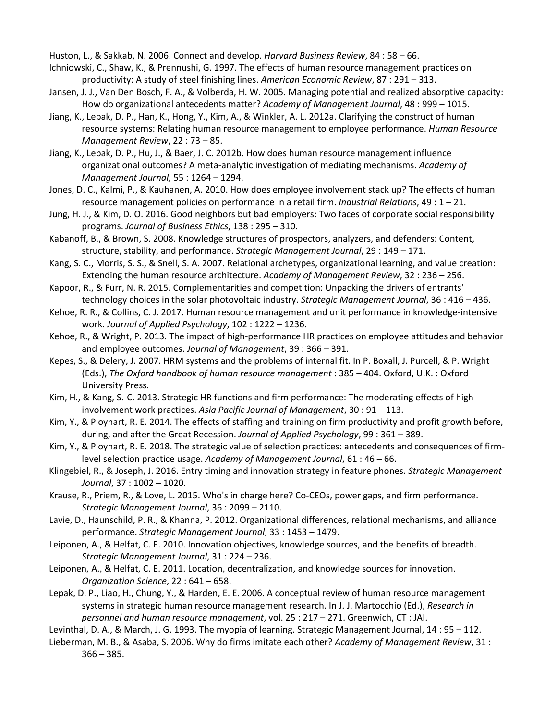Huston, L., & Sakkab, N. 2006. Connect and develop. *Harvard Business Review*, 84 : 58 – 66.

- Ichniowski, C., Shaw, K., & Prennushi, G. 1997. The effects of human resource management practices on productivity: A study of steel finishing lines. *American Economic Review*, 87 : 291 – 313.
- Jansen, J. J., Van Den Bosch, F. A., & Volberda, H. W. 2005. Managing potential and realized absorptive capacity: How do organizational antecedents matter? *Academy of Management Journal*, 48 : 999 – 1015.
- Jiang, K., Lepak, D. P., Han, K., Hong, Y., Kim, A., & Winkler, A. L. 2012a. Clarifying the construct of human resource systems: Relating human resource management to employee performance. *Human Resource Management Review*, 22 : 73 – 85.
- Jiang, K., Lepak, D. P., Hu, J., & Baer, J. C. 2012b. How does human resource management influence organizational outcomes? A meta-analytic investigation of mediating mechanisms. *Academy of Management Journal,* 55 : 1264 – 1294.
- Jones, D. C., Kalmi, P., & Kauhanen, A. 2010. How does employee involvement stack up? The effects of human resource management policies on performance in a retail firm. *Industrial Relations*, 49 : 1 – 21.
- Jung, H. J., & Kim, D. O. 2016. Good neighbors but bad employers: Two faces of corporate social responsibility programs. *Journal of Business Ethics*, 138 : 295 – 310.
- Kabanoff, B., & Brown, S. 2008. Knowledge structures of prospectors, analyzers, and defenders: Content, structure, stability, and performance. *Strategic Management Journal*, 29 : 149 – 171.
- Kang, S. C., Morris, S. S., & Snell, S. A. 2007. Relational archetypes, organizational learning, and value creation: Extending the human resource architecture. *Academy of Management Review*, 32 : 236 – 256.
- Kapoor, R., & Furr, N. R. 2015. Complementarities and competition: Unpacking the drivers of entrants' technology choices in the solar photovoltaic industry. *Strategic Management Journal*, 36 : 416 – 436.
- Kehoe, R. R., & Collins, C. J. 2017. Human resource management and unit performance in knowledge-intensive work. *Journal of Applied Psychology*, 102 : 1222 – 1236.
- Kehoe, R., & Wright, P. 2013. The impact of high-performance HR practices on employee attitudes and behavior and employee outcomes. *Journal of Management*, 39 : 366 – 391.
- Kepes, S., & Delery, J. 2007. HRM systems and the problems of internal fit. In P. Boxall, J. Purcell, & P. Wright (Eds.), *The Oxford handbook of human resource management* : 385 – 404. Oxford, U.K. : Oxford University Press.
- Kim, H., & Kang, S.-C. 2013. Strategic HR functions and firm performance: The moderating effects of highinvolvement work practices. *Asia Pacific Journal of Management*, 30 : 91 – 113.
- Kim, Y., & Ployhart, R. E. 2014. The effects of staffing and training on firm productivity and profit growth before, during, and after the Great Recession. *Journal of Applied Psychology*, 99 : 361 – 389.
- Kim, Y., & Ployhart, R. E. 2018. The strategic value of selection practices: antecedents and consequences of firmlevel selection practice usage. *Academy of Management Journal*, 61 : 46 – 66.
- Klingebiel, R., & Joseph, J. 2016. Entry timing and innovation strategy in feature phones. *Strategic Management Journal*, 37 : 1002 – 1020.
- Krause, R., Priem, R., & Love, L. 2015. Who's in charge here? Co-CEOs, power gaps, and firm performance. *Strategic Management Journal*, 36 : 2099 – 2110.
- Lavie, D., Haunschild, P. R., & Khanna, P. 2012. Organizational differences, relational mechanisms, and alliance performance. *Strategic Management Journal*, 33 : 1453 – 1479.
- Leiponen, A., & Helfat, C. E. 2010. Innovation objectives, knowledge sources, and the benefits of breadth. *Strategic Management Journal*, 31 : 224 – 236.
- Leiponen, A., & Helfat, C. E. 2011. Location, decentralization, and knowledge sources for innovation. *Organization Science*, 22 : 641 – 658.
- Lepak, D. P., Liao, H., Chung, Y., & Harden, E. E. 2006. A conceptual review of human resource management systems in strategic human resource management research. In J. J. Martocchio (Ed.), *Research in personnel and human resource management*, vol. 25 : 217 – 271. Greenwich, CT : JAI.
- Levinthal, D. A., & March, J. G. 1993. The myopia of learning. Strategic Management Journal, 14 : 95 112.
- Lieberman, M. B., & Asaba, S. 2006. Why do firms imitate each other? *Academy of Management Review*, 31 : 366 – 385.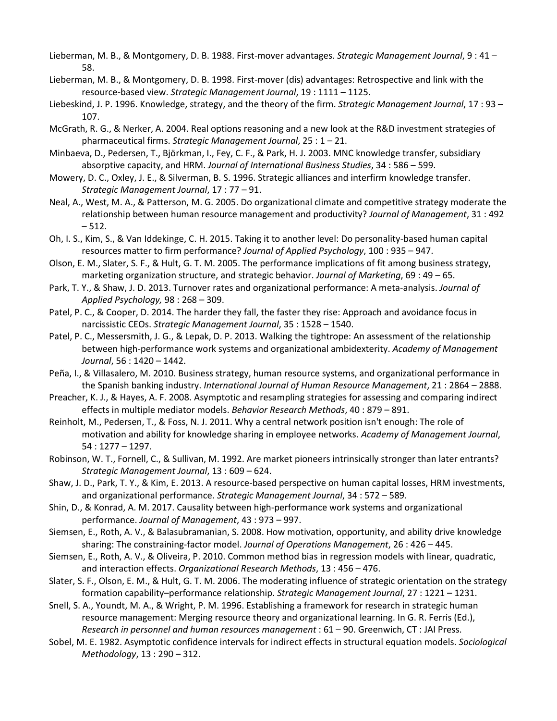- Lieberman, M. B., & Montgomery, D. B. 1988. First-mover advantages. *Strategic Management Journal*, 9 : 41 58.
- Lieberman, M. B., & Montgomery, D. B. 1998. First-mover (dis) advantages: Retrospective and link with the resource-based view. *Strategic Management Journal*, 19 : 1111 – 1125.
- Liebeskind, J. P. 1996. Knowledge, strategy, and the theory of the firm. *Strategic Management Journal*, 17 : 93 107.
- McGrath, R. G., & Nerker, A. 2004. Real options reasoning and a new look at the R&D investment strategies of pharmaceutical firms. *Strategic Management Journal*, 25 : 1 – 21.
- Minbaeva, D., Pedersen, T., Björkman, I., Fey, C. F., & Park, H. J. 2003. MNC knowledge transfer, subsidiary absorptive capacity, and HRM. *Journal of International Business Studies*, 34 : 586 – 599.
- Mowery, D. C., Oxley, J. E., & Silverman, B. S. 1996. Strategic alliances and interfirm knowledge transfer. *Strategic Management Journal*, 17 : 77 – 91.
- Neal, A., West, M. A., & Patterson, M. G. 2005. Do organizational climate and competitive strategy moderate the relationship between human resource management and productivity? *Journal of Management*, 31 : 492  $-512.$
- Oh, I. S., Kim, S., & Van Iddekinge, C. H. 2015. Taking it to another level: Do personality-based human capital resources matter to firm performance? *Journal of Applied Psychology*, 100 : 935 – 947.
- Olson, E. M., Slater, S. F., & Hult, G. T. M. 2005. The performance implications of fit among business strategy, marketing organization structure, and strategic behavior. *Journal of Marketing*, 69 : 49 – 65.
- Park, T. Y., & Shaw, J. D. 2013. Turnover rates and organizational performance: A meta-analysis. *Journal of Applied Psychology,* 98 : 268 – 309.
- Patel, P. C., & Cooper, D. 2014. The harder they fall, the faster they rise: Approach and avoidance focus in narcissistic CEOs. *Strategic Management Journal*, 35 : 1528 – 1540.
- Patel, P. C., Messersmith, J. G., & Lepak, D. P. 2013. Walking the tightrope: An assessment of the relationship between high-performance work systems and organizational ambidexterity. *Academy of Management Journal*, 56 : 1420 – 1442.
- Peña, I., & Villasalero, M. 2010. Business strategy, human resource systems, and organizational performance in the Spanish banking industry. *International Journal of Human Resource Management*, 21 : 2864 – 2888.
- Preacher, K. J., & Hayes, A. F. 2008. Asymptotic and resampling strategies for assessing and comparing indirect effects in multiple mediator models. *Behavior Research Methods*, 40 : 879 – 891.
- Reinholt, M., Pedersen, T., & Foss, N. J. 2011. Why a central network position isn't enough: The role of motivation and ability for knowledge sharing in employee networks. *Academy of Management Journal*, 54 : 1277 – 1297.
- Robinson, W. T., Fornell, C., & Sullivan, M. 1992. Are market pioneers intrinsically stronger than later entrants? *Strategic Management Journal*, 13 : 609 – 624.
- Shaw, J. D., Park, T. Y., & Kim, E. 2013. A resource-based perspective on human capital losses, HRM investments, and organizational performance. *Strategic Management Journal*, 34 : 572 – 589.
- Shin, D., & Konrad, A. M. 2017. Causality between high-performance work systems and organizational performance. *Journal of Management*, 43 : 973 – 997.
- Siemsen, E., Roth, A. V., & Balasubramanian, S. 2008. How motivation, opportunity, and ability drive knowledge sharing: The constraining-factor model. *Journal of Operations Management*, 26 : 426 – 445.
- Siemsen, E., Roth, A. V., & Oliveira, P. 2010. Common method bias in regression models with linear, quadratic, and interaction effects. *Organizational Research Methods*, 13 : 456 – 476.
- Slater, S. F., Olson, E. M., & Hult, G. T. M. 2006. The moderating influence of strategic orientation on the strategy formation capability–performance relationship. *Strategic Management Journal*, 27 : 1221 – 1231.
- Snell, S. A., Youndt, M. A., & Wright, P. M. 1996. Establishing a framework for research in strategic human resource management: Merging resource theory and organizational learning. In G. R. Ferris (Ed.), *Research in personnel and human resources management* : 61 – 90. Greenwich, CT : JAI Press.
- Sobel, M. E. 1982. Asymptotic confidence intervals for indirect effects in structural equation models. *Sociological Methodology*, 13 : 290 – 312.